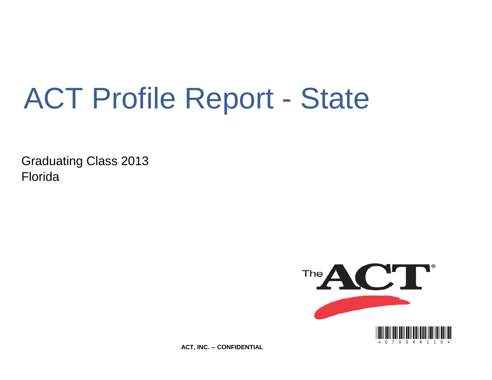# ACT Profile Report - State

Graduating Class 2013 Florida



**ACT, INC. -- CONFIDENTIAL**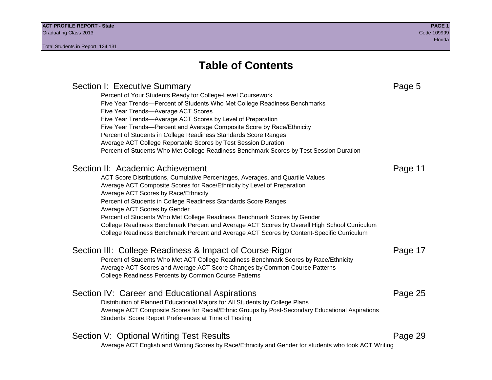Section I: Executive Summary **Page 5** and the section I: Executive Summary Percent of Your Students Ready for College-Level Coursework Five Year Trends—Percent of Students Who Met College Readiness Benchmarks Five Year Trends—Average ACT Scores Five Year Trends—Average ACT Scores by Level of Preparation Five Year Trends—Percent and Average Composite Score by Race/Ethnicity Percent of Students in College Readiness Standards Score Ranges Average ACT College Reportable Scores by Test Session Duration Percent of Students Who Met College Readiness Benchmark Scores by Test Session Duration Section II: Academic Achievement **Page 11** Page 11 ACT Score Distributions, Cumulative Percentages, Averages, and Quartile Values Average ACT Composite Scores for Race/Ethnicity by Level of Preparation Average ACT Scores by Race/Ethnicity Percent of Students in College Readiness Standards Score Ranges Average ACT Scores by Gender Percent of Students Who Met College Readiness Benchmark Scores by Gender College Readiness Benchmark Percent and Average ACT Scores by Overall High School Curriculum College Readiness Benchmark Percent and Average ACT Scores by Content-Specific Curriculum Section III: College Readiness & Impact of Course Rigor Page 17 Percent of Students Who Met ACT College Readiness Benchmark Scores by Race/Ethnicity Average ACT Scores and Average ACT Score Changes by Common Course Patterns College Readiness Percents by Common Course Patterns Section IV: Career and Educational Aspirations **Page 25** Page 25 Distribution of Planned Educational Majors for All Students by College Plans Average ACT Composite Scores for Racial/Ethnic Groups by Post-Secondary Educational Aspirations Students' Score Report Preferences at Time of Testing Section V: Optional Writing Test Results **Page 29** Page 29 Average ACT English and Writing Scores by Race/Ethnicity and Gender for students who took ACT Writing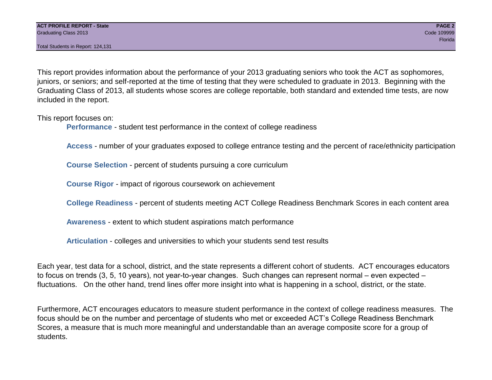Total Students in Report: 124,131

This report provides information about the performance of your 2013 graduating seniors who took the ACT as sophomores, juniors, or seniors; and self-reported at the time of testing that they were scheduled to graduate in 2013. Beginning with the Graduating Class of 2013, all students whose scores are college reportable, both standard and extended time tests, are now included in the report.

This report focuses on:

**Performance** - student test performance in the context of college readiness

**Access** - number of your graduates exposed to college entrance testing and the percent of race/ethnicity participation

**Course Selection** - percent of students pursuing a core curriculum

**Course Rigor** - impact of rigorous coursework on achievement

**College Readiness** - percent of students meeting ACT College Readiness Benchmark Scores in each content area

**Awareness** - extent to which student aspirations match performance

**Articulation** - colleges and universities to which your students send test results

Each year, test data for a school, district, and the state represents a different cohort of students. ACT encourages educators to focus on trends (3, 5, 10 years), not year-to-year changes. Such changes can represent normal – even expected – fluctuations. On the other hand, trend lines offer more insight into what is happening in a school, district, or the state.

Furthermore, ACT encourages educators to measure student performance in the context of college readiness measures. The focus should be on the number and percentage of students who met or exceeded ACT's College Readiness Benchmark Scores, a measure that is much more meaningful and understandable than an average composite score for a group of students.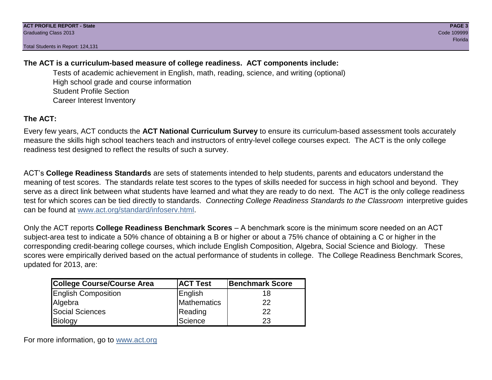Total Students in Report: 124,131

# **The ACT is a curriculum-based measure of college readiness. ACT components include:**

Tests of academic achievement in English, math, reading, science, and writing (optional) High school grade and course information Student Profile Section Career Interest Inventory

# **The ACT:**

Every few years, ACT conducts the **ACT National Curriculum Survey** to ensure its curriculum-based assessment tools accurately measure the skills high school teachers teach and instructors of entry-level college courses expect. The ACT is the only college readiness test designed to reflect the results of such a survey.

ACT's **College Readiness Standards** are sets of statements intended to help students, parents and educators understand the meaning of test scores. The standards relate test scores to the types of skills needed for success in high school and beyond. They serve as a direct link between what students have learned and what they are ready to do next. The ACT is the only college readiness test for which scores can be tied directly to standards. *Connecting College Readiness Standards to the Classroom* interpretive guides can be found at www.act.org/standard/infoserv.html.

Only the ACT reports **College Readiness Benchmark Scores** – A benchmark score is the minimum score needed on an ACT subject-area test to indicate a 50% chance of obtaining a B or higher or about a 75% chance of obtaining a C or higher in the corresponding credit-bearing college courses, which include English Composition, Algebra, Social Science and Biology. These scores were empirically derived based on the actual performance of students in college. The College Readiness Benchmark Scores, updated for 2013, are:

| College Course/Course Area | <b>ACT Test</b> | <b>Benchmark Score</b> |
|----------------------------|-----------------|------------------------|
| <b>English Composition</b> | English         | 18                     |
| Algebra                    | Mathematics     | 22                     |
| <b>Social Sciences</b>     | Reading         | 22                     |
| Biology                    | Science         | 23                     |

For more information, go to www.act.org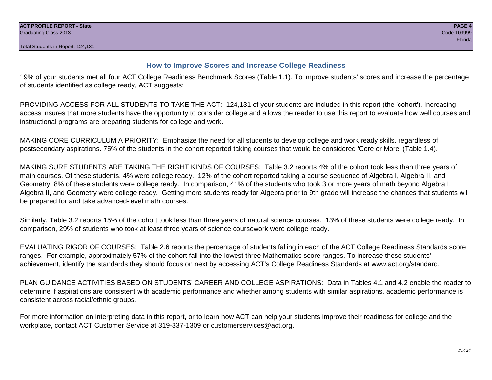# **How to Improve Scores and Increase College Readiness**

19% of your students met all four ACT College Readiness Benchmark Scores (Table 1.1). To improve students' scores and increase the percentage of students identified as college ready, ACT suggests:

PROVIDING ACCESS FOR ALL STUDENTS TO TAKE THE ACT: 124,131 of your students are included in this report (the 'cohort'). Increasing access insures that more students have the opportunity to consider college and allows the reader to use this report to evaluate how well courses and instructional programs are preparing students for college and work.

MAKING CORE CURRICULUM A PRIORITY: Emphasize the need for all students to develop college and work ready skills, regardless of postsecondary aspirations. 75% of the students in the cohort reported taking courses that would be considered 'Core or More' (Table 1.4).

MAKING SURE STUDENTS ARE TAKING THE RIGHT KINDS OF COURSES: Table 3.2 reports 4% of the cohort took less than three years of math courses. Of these students, 4% were college ready. 12% of the cohort reported taking a course sequence of Algebra I, Algebra II, and Geometry. 8% of these students were college ready. In comparison, 41% of the students who took 3 or more years of math beyond Algebra I, Algebra II, and Geometry were college ready. Getting more students ready for Algebra prior to 9th grade will increase the chances that students will be prepared for and take advanced-level math courses.

Similarly, Table 3.2 reports 15% of the cohort took less than three years of natural science courses. 13% of these students were college ready. In comparison, 29% of students who took at least three years of science coursework were college ready.

EVALUATING RIGOR OF COURSES: Table 2.6 reports the percentage of students falling in each of the ACT College Readiness Standards score ranges. For example, approximately 57% of the cohort fall into the lowest three Mathematics score ranges. To increase these students' achievement, identify the standards they should focus on next by accessing ACT's College Readiness Standards at www.act.org/standard.

PLAN GUIDANCE ACTIVITIES BASED ON STUDENTS' CAREER AND COLLEGE ASPIRATIONS: Data in Tables 4.1 and 4.2 enable the reader to determine if aspirations are consistent with academic performance and whether among students with similar aspirations, academic performance is consistent across racial/ethnic groups.

For more information on interpreting data in this report, or to learn how ACT can help your students improve their readiness for college and the workplace, contact ACT Customer Service at 319-337-1309 or customerservices@act.org.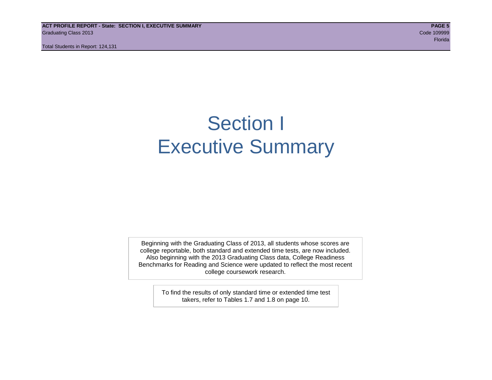**ACT PROFILE REPORT - State: SECTION I, EXECUTIVE SUMMARY PAGE 5** Graduating Class 2013 Code 109999

Total Students in Report: 124,131

en de la construction de la construction de la construction de la construction de la construction de la constr

# Section I Executive Summary

Beginning with the Graduating Class of 2013, all students whose scores are college reportable, both standard and extended time tests, are now included. Also beginning with the 2013 Graduating Class data, College Readiness Benchmarks for Reading and Science were updated to reflect the most recent college coursework research.

> To find the results of only standard time or extended time test takers, refer to Tables 1.7 and 1.8 on page 10.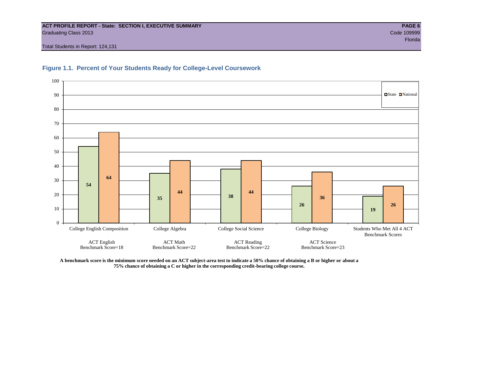#### **ACT PROFILE REPORT - State: SECTION I, EXECUTIVE SUMMARY PAGE 6** Graduating Class 2013 Code 109999

Total Students in Report: 124,131





**A benchmark score is the minimum score needed on an ACT subject-area test to indicate a 50% chance of obtaining a B or higher or about a 75% chance of obtaining a C or higher in the corresponding credit-bearing college course.**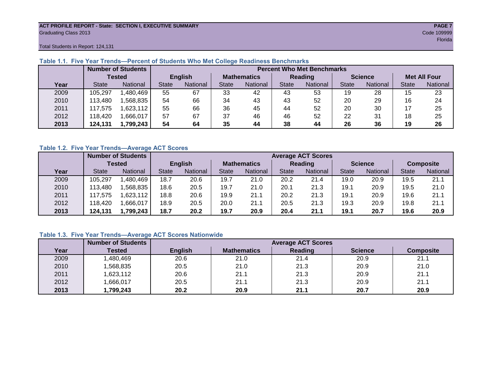#### **ACT PROFILE REPORT - State: SECTION I, EXECUTIVE SUMMARY PAGE 7** Graduating Class 2013 Code 109999

restate and the control of the control of the control of the control of the control of the control of the control of the control of the control of the control of the control of the control of the control of the control of

Total Students in Report: 124,131

|      |               | <b>Number of Students</b> | <b>Percent Who Met Benchmarks</b> |                   |                    |                 |              |          |                |          |                     |          |  |  |  |
|------|---------------|---------------------------|-----------------------------------|-------------------|--------------------|-----------------|--------------|----------|----------------|----------|---------------------|----------|--|--|--|
|      | <b>Tested</b> |                           | <b>English</b>                    |                   | <b>Mathematics</b> |                 | Reading      |          | <b>Science</b> |          | <b>Met All Four</b> |          |  |  |  |
| Year | <b>State</b>  | <b>National</b>           | <b>State</b>                      | National<br>State |                    | <b>National</b> | <b>State</b> | National |                | National | <b>State</b>        | National |  |  |  |
| 2009 | 105,297       | .480,469                  | 55                                | 67                | 33                 | 42              | 43           | 53       | 19             | 28       | 15                  | 23       |  |  |  |
| 2010 | 13,480        | ,568,835                  | 54                                | 66                | 34                 | 43              | 43           | 52       | 20             | 29       | 16                  | 24       |  |  |  |
| 2011 | 17.575        | .623,112                  | 55                                | 66                | 36                 | 45              | 44           | 52       | 20             | 30       | 17                  | 25       |  |  |  |
| 2012 | 18,420        | .666,017                  | 57                                | 67                | 37                 | 46              | 46           | 52       | 22             | 31       | 18                  | 25       |  |  |  |
| 2013 | 124,131       | 1,799,243                 | 54                                | 64                | 35                 | 44              | 38           | 44       | 26             | 36       | 19                  | 26       |  |  |  |

# **Table 1.1. Five Year Trends—Percent of Students Who Met College Readiness Benchmarks**

### **Table 1.2. Five Year Trends—Average ACT Scores**

|      |              | <b>Number of Students</b> |              |                |                    | <b>Average ACT Scores</b> |                |                 |                |          |                  |          |  |  |  |
|------|--------------|---------------------------|--------------|----------------|--------------------|---------------------------|----------------|-----------------|----------------|----------|------------------|----------|--|--|--|
|      |              | Tested                    |              | <b>English</b> | <b>Mathematics</b> |                           | <b>Reading</b> |                 | <b>Science</b> |          | <b>Composite</b> |          |  |  |  |
| Year | <b>State</b> | <b>National</b>           | <b>State</b> | National       |                    | National                  | State          | <b>National</b> | <b>State</b>   | National | <b>State</b>     | National |  |  |  |
| 2009 | 105.297      | ,480,469                  | 18.7         | 20.6           | 19.7               | 21.0                      | 20.2           | 21.4            | 19.0           | 20.9     | 19.5             | 21.1     |  |  |  |
| 2010 | 113,480      | .568.835                  | 18.6         | 20.5           | 19.7               | 21.0                      | 20.1           | 21.3            | 19.1           | 20.9     | 19.5             | 21.0     |  |  |  |
| 2011 | 117,575      | .623,112                  | 18.8         | 20.6           | 19.9               | 21.1                      | 20.2           | 21.3            | 19.1           | 20.9     | 19.6             | 21.1     |  |  |  |
| 2012 | 118,420      | .666,017                  | 18.9         | 20.5           | 20.0               | 21.1                      | 20.5           | 21.3            | 19.3           | 20.9     | 19.8             | 21.1     |  |  |  |
| 2013 | 124,131      | 1,799,243                 | 18.7         | 20.2           | 19.7               | 20.9                      | 20.4           | 21.1            | 19.1           | 20.7     | 19.6             | 20.9     |  |  |  |

# **Table 1.3. Five Year Trends—Average ACT Scores Nationwide**

|      | <b>Number of Students</b> | <b>Average ACT Scores</b> |                    |         |                |                  |  |  |  |  |  |
|------|---------------------------|---------------------------|--------------------|---------|----------------|------------------|--|--|--|--|--|
| Year | Tested                    | <b>English</b>            | <b>Mathematics</b> | Reading | <b>Science</b> | <b>Composite</b> |  |  |  |  |  |
| 2009 | ,480,469                  | 20.6                      | 21.0               | 21.4    | 20.9           | 21.1             |  |  |  |  |  |
| 2010 | ,568,835                  | 20.5                      | 21.0               | 21.3    | 20.9           | 21.0             |  |  |  |  |  |
| 2011 | ,623,112                  | 20.6                      | 21.1               | 21.3    | 20.9           | 21.1             |  |  |  |  |  |
| 2012 | ,666,017                  | 20.5                      | 21.1               | 21.3    | 20.9           | 21.1             |  |  |  |  |  |
| 2013 | ,799,243                  | 20.2                      | 20.9               | 21.1    | 20.7           | 20.9             |  |  |  |  |  |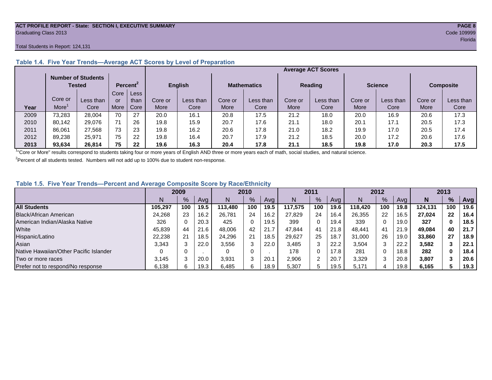#### **ACT PROFILE REPORT - State: SECTION I, EXECUTIVE SUMMARY PAGE 8** Graduating Class 2013 Code 109999

#### Total Students in Report: 124,131

|      |         | <b>Number of Students</b><br>Tested |      | Percent <sup>2</sup> |             | <b>English</b> |         | <b>Mathematics</b> |         | <b>Reading</b> | <b>Science</b> |           | <b>Composite</b> |           |
|------|---------|-------------------------------------|------|----------------------|-------------|----------------|---------|--------------------|---------|----------------|----------------|-----------|------------------|-----------|
|      |         |                                     | Core | Less                 |             |                |         |                    |         |                |                |           |                  |           |
|      | Core or | Less than                           | or   | than                 | Core or     | Less than      | Core or | Less than          | Core or | Less than      | Core or        | Less than | Core or          | Less than |
| Year | More    | Core                                | More | Core                 | <b>More</b> | Core           | More    | Core               | More    | Core           | More           | Core      | More             | Core      |
| 2009 | 73,283  | 28,004                              | 70   | 27                   | 20.0        | 16.1           | 20.8    | 17.5               | 21.2    | 18.0           | 20.0           | 16.9      | 20.6             | 17.3      |
| 2010 | 80,142  | 29.076                              | 71   | 26                   | 19.8        | 15.9           | 20.7    | 17.6               | 21.1    | 18.0           | 20.1           | 17.1      | 20.5             | 17.3      |
| 2011 | 86,061  | 27,568                              | 73   | 23                   | 19.8        | 16.2           | 20.6    | 17.8               | 21.0    | 18.2           | 19.9           | 17.0      | 20.5             | 17.4      |
| 2012 | 89,238  | 25,971                              | 75   | 22                   | 19.8        | 16.4           | 20.7    | 17.9               | 21.2    | 18.5           | 20.0           | 17.2      | 20.6             | 17.6      |
| 2013 | 93,634  | 26.814                              | 75   | 22                   | 19.6        | 16.3           | 20.4    | 17.8               | 21.1    | 18.5           | 19.8           | 17.0      | 20.3             | 17.5      |

# **Table 1.4. Five Year Trends—Average ACT Scores by Level of Preparation**

<sup>1</sup>"Core or More" results correspond to students taking four or more years of English AND three or more years each of math, social studies, and natural science.

 $2$ Percent of all students tested. Numbers will not add up to 100% due to student non-response.

# **Table 1.5. Five Year Trends—Percent and Average Composite Score by Race/Ethnicity**

|                                        | 2009    |      |      | 2010    |     |      | 2011    |     |      | 2012    |     |      | 2013    |               |      |
|----------------------------------------|---------|------|------|---------|-----|------|---------|-----|------|---------|-----|------|---------|---------------|------|
|                                        | N       | $\%$ | Avg  | N       | %   | Avg  | N       | %   | Avg  | Ν       | %   | Ava  | N       | $\frac{9}{6}$ | Avg  |
| <b>All Students</b>                    | 105.297 | 100  | 19.5 | 113.480 | 100 | 19.5 | 117.575 | 100 | 19.6 | 118.420 | 100 | 19.8 | 124.131 | 100           | 19.6 |
| Black/African American                 | 24,268  | 23   | 16.2 | 26.781  | 24  | 16.2 | 27,829  | 24  | 16.4 | 26,355  | 22  | 16.5 | 27.024  | 22            | 16.4 |
| American Indian/Alaska Native          | 326     |      | 20.3 | 425     | 0   | 19.5 | 399     | 0   | 19.4 | 339     | 0   | 19.0 | 327     | 0             | 18.5 |
| White                                  | 45.839  | 44   | 21.6 | 48.006  | 42  | 21.7 | 47.844  | 41  | 21.8 | 48.441  | 41  | 21.9 | 49.084  | 40            | 21.7 |
| Hispanic/Latino                        | 22.238  | 21   | 18.5 | 24.296  | 21  | 18.5 | 29,627  | 25  | 18.7 | 31,000  | 26  | 19.0 | 33,860  | 27            | 18.9 |
| Asian                                  | 3,343   |      | 22.0 | 3,556   | 3   | 22.0 | 3,485   | 3   | 22.2 | 3,504   | 3   | 22.2 | 3,582   |               | 22.1 |
| Native Hawaiian/Other Pacific Islander |         |      |      |         | 0   |      | 178     | 0   | 17.8 | 281     | U   | 18.8 | 282     | 0             | 18.4 |
| Two or more races                      | 3.145   |      | 20.0 | 3,931   | 3   | 20.1 | 2,906   |     | 20.7 | 3,329   | 3   | 20.8 | 3,807   |               | 20.6 |
| Prefer not to respond/No response      | 6,138   | 6.   | 19.3 | 6,485   | 6   | 18.9 | 5,307   | 5.  | 19.5 | 5.171   | 4   | 19.8 | 6,165   |               | 19.3 |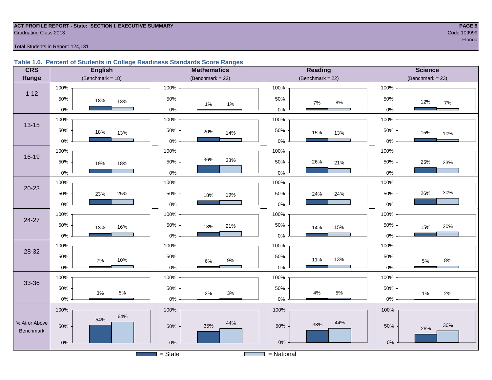#### **ACT PROFILE REPORT - State: SECTION I, EXECUTIVE SUMMARY PAGE 9 Graduating Class 2013** Code 109999 Code 109999

en de la provincia de la provincia de la provincia de la provincia de la provincia de la provincia de la provi

Total Students in Report: 124,131

#### **Table 1.6. Percent of Students in College Readiness Standards Score Ranges**

| <b>CRS</b>       | <b>English</b>      | <b>Mathematics</b>           | Reading                 | <b>Science</b>     |  |  |
|------------------|---------------------|------------------------------|-------------------------|--------------------|--|--|
| Range            | (Benchmark = $18$ ) | (Benchmark = $22$ )          | (Benchmark = $22$ )     | $(Benchmark = 23)$ |  |  |
|                  | 100%                | 100%                         | 100%                    | 100%               |  |  |
| $1 - 12$         | 50%<br>18%<br>13%   | 50%<br>$1\%$<br>$1\%$        | 50%<br>$7\%$<br>$8\%$   | 50%<br>12%<br>7%   |  |  |
|                  | $0\%$               | $0\%$                        | 0%                      | 0%                 |  |  |
| $13 - 15$        | 100%                | 100%                         | 100%                    | 100%               |  |  |
|                  | 50%<br>18%<br>13%   | 50%<br>20%<br>14%            | 50%<br>15%<br>13%       | 50%<br>15%<br>10%  |  |  |
|                  | $0\%$               | 0%                           | $0\%$                   | 0%                 |  |  |
|                  | 100%                | 100%                         | 100%                    | 100%               |  |  |
| $16 - 19$        | 50%<br>19%<br>18%   | 36%<br>33%<br>50%            | 26%<br>50%<br>21%       | 25%<br>50%<br>23%  |  |  |
|                  | $0\%$               | $0\%$                        | $0\%$                   | 0%                 |  |  |
|                  | 100%                | 100%                         | 100%                    | 100%               |  |  |
| $20 - 23$        | 50%<br>25%<br>23%   | 50%<br>19%<br>18%            | 50%<br>24%<br>24%       | 30%<br>50%<br>26%  |  |  |
|                  | $0\%$               | $0\%$                        | $0\%$                   | 0%                 |  |  |
| 24-27            | 100%                | 100%                         | 100%                    | 100%               |  |  |
|                  | 50%<br>16%<br>13%   | 50%<br>21%<br>18%            | 50%<br>14%<br>15%       | 50%<br>20%<br>15%  |  |  |
|                  | $0\%$               | 0%                           | $0\%$                   | 0%                 |  |  |
| 28-32            | 100%                | 100%                         | 100%                    | 100%               |  |  |
|                  | 50%<br>10%<br>7%    | 50%<br>$9\%$<br>$6\%$        | 50%<br>13%<br>11%       | 50%<br>$8\%$<br>5% |  |  |
|                  | $0\%$               | $0\%$                        | $0\%$                   | 0%                 |  |  |
|                  | 100%                | 100%                         | 100%                    | 100%               |  |  |
| 33-36            | 50%                 | 50%                          | 50%                     | 50%                |  |  |
|                  | 5%<br>$3%$<br>0%    | $3%$<br>2%<br>$0\%$          | $4\%$<br>$5\%$<br>$0\%$ | 1%<br>2%<br>$0\%$  |  |  |
|                  | 100%                | 100%                         | 100%                    | 100%               |  |  |
| % At or Above    | 64%<br>54%          | 44%                          | 44%                     |                    |  |  |
| <b>Benchmark</b> | 50%                 | 35%<br>50%                   | 38%<br>50%              | 36%<br>50%<br>26%  |  |  |
|                  | $0\%$               | $0\%$                        | $0\%$                   | $0\%$              |  |  |
|                  |                     | $=$ State<br><b>Contract</b> | $=$ National            |                    |  |  |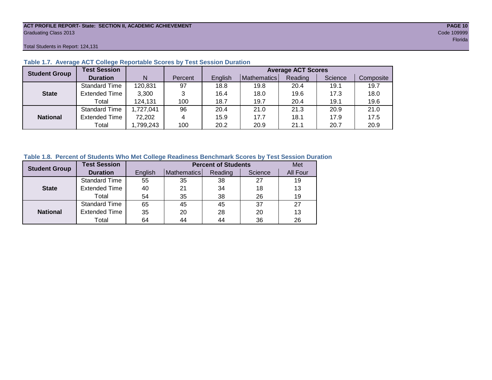#### **ACT PROFILE REPORT- State: SECTION II, ACADEMIC ACHIEVEMENT PAGE 10** Graduating Class 2013 Code 109999

Total Students in Report: 124,131

| <b>Student Group</b> | <b>Test Session</b>  |          |         | <b>Average ACT Scores</b> |             |         |         |           |  |  |  |  |
|----------------------|----------------------|----------|---------|---------------------------|-------------|---------|---------|-----------|--|--|--|--|
|                      | <b>Duration</b>      | N        | Percent | English                   | Mathematics | Reading | Science | Composite |  |  |  |  |
|                      | <b>Standard Time</b> | 120,831  | 97      | 18.8                      | 19.8        | 20.4    | 19.1    | 19.7      |  |  |  |  |
| <b>State</b>         | <b>Extended Time</b> | 3,300    | 3       | 16.4                      | 18.0        | 19.6    | 17.3    | 18.0      |  |  |  |  |
|                      | Total                | 124,131  | 100     | 18.7                      | 19.7        | 20.4    | 19.1    | 19.6      |  |  |  |  |
|                      | <b>Standard Time</b> | ,727,041 | 96      | 20.4                      | 21.0        | 21.3    | 20.9    | 21.0      |  |  |  |  |
| <b>National</b>      | <b>Extended Time</b> | 72,202   | 4       | 15.9                      | 17.7        | 18.1    | 17.9    | 17.5      |  |  |  |  |
|                      | Total                | ,799,243 | 100     | 20.2                      | 20.9        | 21.1    | 20.7    | 20.9      |  |  |  |  |

### **Table 1.7. Average ACT College Reportable Scores by Test Session Duration**

#### **Table 1.8. Percent of Students Who Met College Readiness Benchmark Scores by Test Session Duration**

| <b>Student Group</b> | <b>Test Session</b>  |         |             | <b>Percent of Students</b> |         | Met      |
|----------------------|----------------------|---------|-------------|----------------------------|---------|----------|
|                      | <b>Duration</b>      | English | Mathematics | Reading                    | Science | All Four |
|                      | Standard Time        | 55      | 35          | 38                         | 27      | 19       |
| <b>State</b>         | <b>Extended Time</b> | 40      | 21          | 34                         | 18      | 13       |
|                      | Total                | 54      | 35          | 38                         | 26      | 19       |
|                      | <b>Standard Time</b> | 65      | 45          | 45                         | 37      | 27       |
| <b>National</b>      | <b>Extended Time</b> | 35      | 20          | 28                         | 20      | 13       |
|                      | Total                | 64      | 44          | 44                         | 36      | 26       |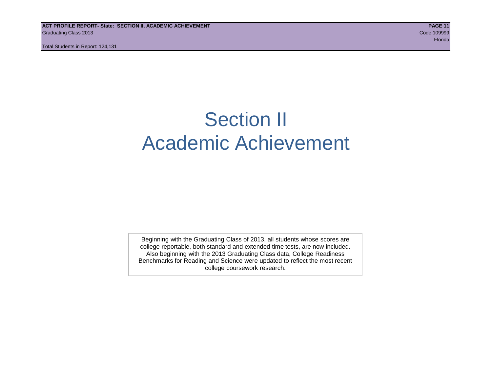# Section II Academic Achievement

Beginning with the Graduating Class of 2013, all students whose scores are college reportable, both standard and extended time tests, are now included. Also beginning with the 2013 Graduating Class data, College Readiness Benchmarks for Reading and Science were updated to reflect the most recent college coursework research.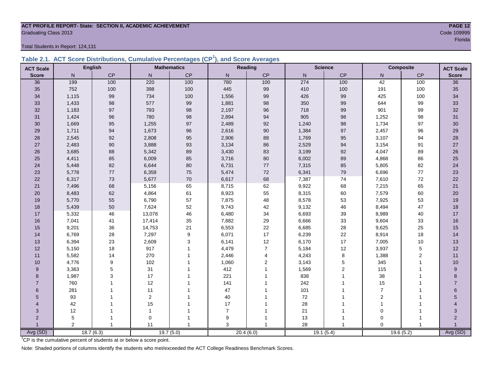# **ACT PROFILE REPORT- State: SECTION II, ACADEMIC ACHIEVEMENT PAGE 12** Graduating Class 2013 Code 109999

Total Students in Report: 124,131

|  | Table 2.1. ACT Score Distributions, Cumulative Percentages (CP <sup>1</sup> ), and Score Averages |  |  |  |
|--|---------------------------------------------------------------------------------------------------|--|--|--|
|  |                                                                                                   |  |  |  |

| <b>ACT Scale</b>      |                | <b>English</b> |                | <b>Reading</b><br><b>Mathematics</b> |                | <b>Science</b> |              | Composite |                | <b>ACT Scale</b> |                |
|-----------------------|----------------|----------------|----------------|--------------------------------------|----------------|----------------|--------------|-----------|----------------|------------------|----------------|
| <b>Score</b>          | N              | CP             | $\mathsf{N}$   | $\mathsf{CP}$                        | N              | CP             | $\mathsf{N}$ | CP        | N              | $\mathsf{CP}$    | <b>Score</b>   |
| 36                    | 199            | 100            | 220            | 100                                  | 780            | 100            | 274          | 100       | 42             | 100              | 36             |
| 35                    | 752            | 100            | 398            | 100                                  | 445            | 99             | 410          | 100       | 191            | 100              | 35             |
| 34                    | 1,115          | 99             | 734            | 100                                  | 1,556          | 99             | 426          | 99        | 425            | 100              | 34             |
| 33                    | 1,433          | 98             | 577            | 99                                   | 1,881          | 98             | 350          | 99        | 644            | 99               | 33             |
| 32                    | 1,183          | 97             | 793            | $98\,$                               | 2,197          | 96             | 718          | 99        | 901            | 99               | $32\,$         |
| 31                    | 1,424          | 96             | 780            | 98                                   | 2,894          | 94             | 905          | 98        | 1,252          | 98               | 31             |
| 30                    | 1,669          | 95             | 1,255          | $97\,$                               | 2,489          | 92             | 1,240        | $98\,$    | 1,734          | 97               | 30             |
| 29                    | 1,711          | 94             | 1,673          | 96                                   | 2,616          | 90             | 1,384        | 97        | 2,457          | 96               | 29             |
| 28                    | 2,545          | 92             | 2,808          | 95                                   | 2,906          | 88             | 1,769        | 95        | 3,107          | 94               | 28             |
| 27                    | 2,483          | 90             | 3,888          | 93                                   | 3,134          | 86             | 2,529        | 94        | 3,154          | 91               | $27\,$         |
| 26                    | 3,685          | 88             | 5,342          | 89                                   | 3,430          | 83             | 3,199        | 92        | 4,047          | 89               | 26             |
| 25                    | 4,411          | 85             | 6,009          | 85                                   | 3,716          | 80             | 6,002        | 89        | 4,868          | 86               | 25             |
| 24                    | 5,448          | 82             | 6,644          | 80                                   | 6,731          | 77             | 7,315        | 85        | 5,805          | 82               | 24             |
| 23                    | 5,778          | 77             | 6,359          | ${\bf 75}$                           | 5,474          | 72             | 6,341        | 79        | 6,696          | $77\,$           | 23             |
| 22                    | 6,317          | 73             | 5,677          | 70                                   | 6,617          | 68             | 7,387        | 74        | 7,610          | $72\,$           | 22             |
| 21                    | 7,496          | 68             | 5,156          | 65                                   | 8,715          | 62             | 9,922        | 68        | 7,215          | 65               | 21             |
| 20                    | 8,483          | 62             | 4,864          | 61                                   | 8,923          | 55             | 8,315        | 60        | 7,579          | 60               | 20             |
| 19                    | 5,770          | 55             | 6,790          | 57                                   | 7,875          | 48             | 8,578        | 53        | 7,925          | 53               | 19             |
| 18                    | 5,439          | 50             | 7,624          | 52                                   | 9,743          | 42             | 9,132        | 46        | 8,494          | 47               | 18             |
| 17                    | 5,332          | 46             | 13,078         | 46                                   | 6,480          | 34             | 6,693        | 39        | 8,989          | 40               | 17             |
| 16                    | 7,041          | 41             | 17,414         | 35                                   | 7,882          | 29             | 6,666        | 33        | 9,604          | 33               | 16             |
| 15                    | 9,201          | 36             | 14,753         | 21                                   | 6,553          | 22             | 6,685        | 28        | 9,625          | 25               | 15             |
| 14                    | 6,769          | 28             | 7,297          | 9                                    | 6,071          | 17             | 6,239        | 22        | 8,914          | 18               | 14             |
| 13                    | 6,394          | 23             | 2,609          | $\mathsf 3$                          | 6,141          | 12             | 6,170        | 17        | 7,005          | $10$             | 13             |
| 12                    | 5,150          | 18             | 917            | $\overline{1}$                       | 4,479          | $\overline{7}$ | 5,184        | 12        | 3,937          | 5                | 12             |
| 11                    | 5,582          | 14             | 270            |                                      | 2,446          | 4              | 4,243        | 8         | 1,388          | 2                | 11             |
| 10                    | 4,776          | 9              | 102            |                                      | 1,060          | 2              | 3,143        | 5         | 345            | $\mathbf{1}$     | 10             |
| 9                     | 3,363          | 5              | 31             |                                      | 412            |                | 1,569        | 2         | 115            |                  | 9              |
| 8                     | 1,987          | 3              | 17             |                                      | 221            |                | 838          | 1         | 38             |                  | 8              |
| $\overline{7}$        | 760            |                | 12             |                                      | 141            |                | 242          | 1         | 15             |                  | $\overline{7}$ |
| 6                     | 281            |                | 11             |                                      | 47             |                | 101          | 1         | $\overline{7}$ |                  | $6\phantom{a}$ |
| 5                     | 93             |                | $\overline{c}$ |                                      | 40             |                | 72           |           | $\overline{2}$ |                  | 5              |
| $\boldsymbol{\Delta}$ | 42             |                | 15             |                                      | 17             |                | 28           |           |                |                  |                |
| 3                     | 12             |                | $\overline{1}$ |                                      | $\overline{7}$ |                | 21           | 1         | $\mathbf 0$    |                  | 3              |
| $\overline{2}$        | 5              |                | $\mathbf 0$    |                                      | 9              |                | 13           | -1        | $\mathbf 0$    |                  | $\overline{2}$ |
|                       | $\overline{2}$ |                | 11             |                                      | 3              |                | 28           | 1         | $\Omega$       |                  | Avg (SD)       |
| Avg (SD)              |                | 18.7(6.3)      |                | 19.7(5.0)                            |                | 20.4(6.0)      |              | 19.1(5.4) |                | 19.6(5.2)        |                |

<sup>1</sup>CP is the cumulative percent of students at or below a score point.

Note: Shaded portions of columns identify the students who met/exceeded the ACT College Readiness Benchmark Scores.

resultation of the contract of the contract of the contract of the contract of the contract of the contract of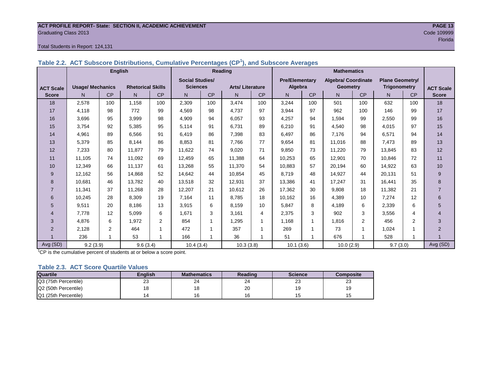#### **ACT PROFILE REPORT- State: SECTION II, ACADEMIC ACHIEVEMENT PAGE 13** Graduating Class 2013 Code 109999

#### Total Students in Report: 124,131

|                  |                         | <b>English</b> |                          |                |                        |           | Reading                |                | <b>Mathematics</b>    |           |                            |                |                        |                |                  |
|------------------|-------------------------|----------------|--------------------------|----------------|------------------------|-----------|------------------------|----------------|-----------------------|-----------|----------------------------|----------------|------------------------|----------------|------------------|
|                  |                         |                |                          |                | <b>Social Studies/</b> |           |                        |                | <b>Pre/Elementary</b> |           | <b>Algebra/ Coordinate</b> |                | <b>Plane Geometry/</b> |                |                  |
| <b>ACT Scale</b> | <b>Usage/ Mechanics</b> |                | <b>Rhetorical Skills</b> |                | <b>Sciences</b>        |           | <b>Arts/Literature</b> |                | Algebra               |           | <b>Geometry</b>            |                | <b>Trigonometry</b>    |                | <b>ACT Scale</b> |
| <b>Score</b>     | N.                      | <b>CP</b>      | N                        | CP             | N                      | <b>CP</b> | N                      | <b>CP</b>      | N.                    | <b>CP</b> | N                          | <b>CP</b>      | N.                     | CP             | <b>Score</b>     |
| 18               | 2,578                   | 100            | 1.158                    | 100            | 2,309                  | 100       | 3,474                  | 100            | 3,244                 | 100       | 501                        | 100            | 632                    | 100            | 18               |
| 17               | 4,118                   | 98             | 772                      | 99             | 4,569                  | 98        | 4.737                  | 97             | 3,944                 | 97        | 962                        | 100            | 146                    | 99             | 17               |
| 16               | 3,696                   | 95             | 3.999                    | 98             | 4,909                  | 94        | 6.057                  | 93             | 4,257                 | 94        | 1.594                      | 99             | 2,550                  | 99             | 16               |
| 15               | 3.754                   | 92             | 5,385                    | 95             | 5,114                  | 91        | 6.731                  | 89             | 6,210                 | 91        | 4.540                      | 98             | 4.015                  | 97             | 15               |
| 14               | 4,961                   | 89             | 6,566                    | 91             | 6,419                  | 86        | 7,398                  | 83             | 6,497                 | 86        | 7,176                      | 94             | 6,571                  | 94             | 14               |
| 13               | 5,379                   | 85             | 8,144                    | 86             | 8,853                  | 81        | 7.766                  | 77             | 9,654                 | 81        | 11.016                     | 88             | 7,473                  | 89             | 13               |
| 12               | 7,233                   | 80             | 11.877                   | 79             | 11,622                 | 74        | 9.020                  | 71             | 9,850                 | 73        | 11.220                     | 79             | 13,845                 | 83             | 12               |
| 11               | 11,105                  | 74             | 11,092                   | 69             | 12,459                 | 65        | 11,388                 | 64             | 10,253                | 65        | 12,901                     | 70             | 10,846                 | 72             | 11               |
| 10               | 12,349                  | 66             | 11.137                   | 61             | 13,268                 | 55        | 11,370                 | 54             | 10,883                | 57        | 20,194                     | 60             | 14,922                 | 63             | $10$             |
| 9                | 12,162                  | 56             | 14,868                   | 52             | 14,642                 | 44        | 10,854                 | 45             | 8,719                 | 48        | 14,927                     | 44             | 20,131                 | 51             | 9                |
| 8                | 10,681                  | 46             | 13.782                   | 40             | 13,518                 | 32        | 12.931                 | 37             | 13,386                | 41        | 17.247                     | 31             | 16.441                 | 35             | 8                |
| $\overline{7}$   | 11,341                  | 37             | 11.268                   | 28             | 12,207                 | 21        | 10,612                 | 26             | 17,362                | 30        | 9,808                      | 18             | 11,382                 | 21             | $\overline{7}$   |
| 6                | 10,245                  | 28             | 8,309                    | 19             | 7,164                  | 11        | 8.785                  | 18             | 10,162                | 16        | 4,389                      | 10             | 7,274                  | 12             | 6                |
| 5                | 9,511                   | 20             | 8,186                    | 13             | 3,915                  | 6         | 8,159                  | 10             | 5,847                 | 8         | 4,189                      | 6              | 2,339                  | 6              | 5                |
| $\overline{4}$   | 7.778                   | 12             | 5,099                    | 6              | 1,671                  | 3         | 3.161                  | 4              | 2,375                 | 3         | 902                        | 3              | 3,556                  | 4              | 4                |
| 3                | 4,876                   | 6              | 1,972                    | $\overline{2}$ | 854                    | 1         | 1,295                  | 1              | 1,168                 |           | 1.816                      | 2              | 456                    | $\overline{2}$ | 3                |
| 2                | 2,128                   | $\overline{2}$ | 464                      | 1              | 472                    |           | 357                    | 1              | 269                   |           | 73                         | $\overline{ }$ | 1,024                  |                | $\overline{2}$   |
|                  | 236                     |                | 53                       | 1              | 166                    |           | 36                     | $\overline{ }$ | 51                    |           | 676                        | $\overline{A}$ | 528                    |                |                  |
| Avg (SD)         | 9.2(3.9)                |                | 9.6(3.4)                 |                | 10.4(3.4)              |           | 10.3(3.8)              |                | 10.1(3.6)             |           | 10.0(2.9)                  |                | 9.7(3.0)               |                | Avg (SD)         |

### **Table 2.2. ACT Subscore Distributions, Cumulative Percentages (CP<sup>1</sup> ), and Subscore Averages**

 $1$ <sup>-1</sup>CP is the cumulative percent of students at or below a score point.

#### **Table 2.3. ACT Score Quartile Values**

| <b>Quartile</b>      | <b>Enalish</b> | <b>Mathematics</b> | <b>Reading</b> | <b>Science</b> | Composite |
|----------------------|----------------|--------------------|----------------|----------------|-----------|
| Q3 (75th Percentile) | 23             | 24                 | 24             | ົ<br>∠J        | ںے        |
| Q2 (50th Percentile) |                |                    | $\Omega$<br>۷J | 19             |           |
| Q1 (25th Percentile) |                |                    | 1C             | l v            |           |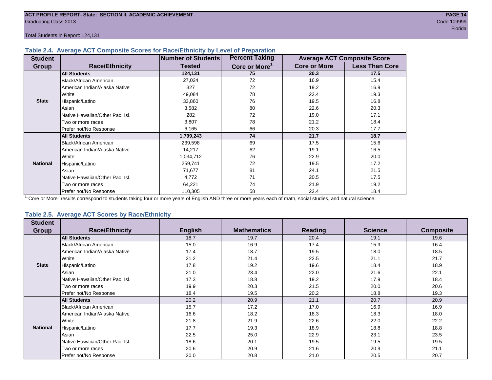Total Students in Report: 124,131

#### **Table 2.4. Average ACT Composite Scores for Race/Ethnicity by Level of Preparation**

| <b>Student</b>  |                                 | <b>Number of Students</b> | <b>Percent Taking</b>     |                     | <b>Average ACT Composite Score</b> |
|-----------------|---------------------------------|---------------------------|---------------------------|---------------------|------------------------------------|
| <b>Group</b>    | <b>Race/Ethnicity</b>           | <b>Tested</b>             | Core or More <sup>1</sup> | <b>Core or More</b> | <b>Less Than Core</b>              |
|                 | <b>All Students</b>             | 124,131                   | 75                        | 20.3                | 17.5                               |
|                 | Black/African American          | 27,024                    | 72                        | 16.9                | 15.4                               |
|                 | American Indian/Alaska Native   | 327                       | 72                        | 19.2                | 16.9                               |
|                 | <b>White</b>                    | 49,084                    | 78                        | 22.4                | 19.3                               |
| <b>State</b>    | Hispanic/Latino                 | 33,860                    | 76                        | 19.5                | 16.8                               |
|                 | Asian                           | 3,582                     | 80                        | 22.6                | 20.3                               |
|                 | Native Hawaiian/Other Pac. Isl. | 282                       | 72                        | 19.0                | 17.1                               |
|                 | I Two or more races             | 3,807                     | 78                        | 21.2                | 18.4                               |
|                 | Prefer not/No Response          | 6,165                     | 66                        | 20.3                | 17.7                               |
|                 | <b>All Students</b>             | 1,799,243                 | 74                        | 21.7                | 18.7                               |
|                 | Black/African American          | 239,598                   | 69                        | 17.5                | 15.6                               |
|                 | American Indian/Alaska Native   | 14,217                    | 62                        | 19.1                | 16.5                               |
|                 | <b>White</b>                    | 1,034,712                 | 76                        | 22.9                | 20.0                               |
| <b>National</b> | Hispanic/Latino                 | 259,741                   | 72                        | 19.5                | 17.2                               |
|                 | Asian                           | 71,677                    | 81                        | 24.1                | 21.5                               |
|                 | Native Hawaiian/Other Pac. Isl. | 4,772                     | 71                        | 20.5                | 17.5                               |
|                 | I Two or more races             | 64,221                    | 74                        | 21.9                | 19.2                               |
|                 | Prefer not/No Response          | 110,305                   | 58                        | 22.4                | 18.4                               |

<sup>1</sup>"Core or More" results correspond to students taking four or more years of English AND three or more years each of math, social studies, and natural science.

#### **Table 2.5. Average ACT Scores by Race/Ethnicity**

| <b>Student</b>  |                                 |                |                    |                |                |                  |
|-----------------|---------------------------------|----------------|--------------------|----------------|----------------|------------------|
| Group           | <b>Race/Ethnicity</b>           | <b>English</b> | <b>Mathematics</b> | <b>Reading</b> | <b>Science</b> | <b>Composite</b> |
|                 | <b>All Students</b>             | 18.7           | 19.7               | 20.4           | 19.1           | 19.6             |
|                 | Black/African American          | 15.0           | 16.9               | 17.4           | 15.9           | 16.4             |
|                 | American Indian/Alaska Native   | 17.4           | 18.7               | 19.5           | 18.0           | 18.5             |
|                 | White                           | 21.2           | 21.4               | 22.5           | 21.1           | 21.7             |
| <b>State</b>    | Hispanic/Latino                 | 17.8           | 19.2               | 19.6           | 18.4           | 18.9             |
|                 | Asian                           | 21.0           | 23.4               | 22.0           | 21.6           | 22.1             |
|                 | Native Hawaiian/Other Pac. Isl. | 17.3           | 18.8               | 19.2           | 17.9           | 18.4             |
|                 | Two or more races               | 19.9           | 20.3               | 21.5           | 20.0           | 20.6             |
|                 | Prefer not/No Response          | 18.4           | 19.5               | 20.2           | 18.8           | 19.3             |
|                 | <b>All Students</b>             | 20.2           | 20.9               | 21.1           | 20.7           | 20.9             |
|                 | Black/African American          | 15.7           | 17.2               | 17.0           | 16.9           | 16.9             |
|                 | American Indian/Alaska Native   | 16.6           | 18.2               | 18.3           | 18.3           | 18.0             |
|                 | White                           | 21.8           | 21.9               | 22.6           | 22.0           | 22.2             |
| <b>National</b> | Hispanic/Latino                 | 17.7           | 19.3               | 18.9           | 18.8           | 18.8             |
|                 | Asian                           | 22.5           | 25.0               | 22.9           | 23.1           | 23.5             |
|                 | Native Hawaiian/Other Pac. Isl. | 18.6           | 20.1               | 19.5           | 19.5           | 19.5             |
|                 | Two or more races               | 20.6           | 20.9               | 21.6           | 20.9           | 21.1             |
|                 | Prefer not/No Response          | 20.0           | 20.8               | 21.0           | 20.5           | 20.7             |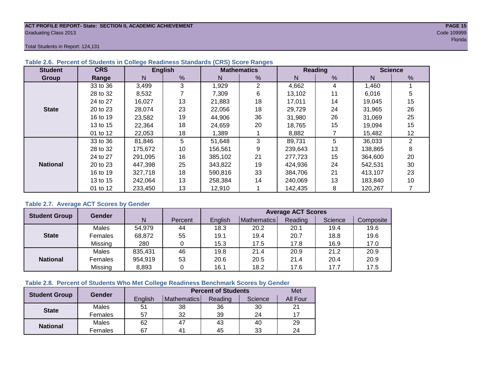#### **ACT PROFILE REPORT- State: SECTION II, ACADEMIC ACHIEVEMENT PAGE 15** Graduating Class 2013 Code 109999

Total Students in Report: 124,131

| <b>Student</b>  | <b>CRS</b> |         | <b>English</b> |         | <b>Mathematics</b> |         | Reading | <b>Science</b> |    |  |
|-----------------|------------|---------|----------------|---------|--------------------|---------|---------|----------------|----|--|
| Group           | Range      | N       | %              | N       | %                  | N       | %       | N              | %  |  |
|                 | 33 to 36   | 3,499   | 3              | 1,929   | 2                  | 4,662   | 4       | 1,460          |    |  |
|                 | 28 to 32   | 8,532   |                | 7,309   | 6                  | 13,102  | 11      | 6,016          | 5  |  |
|                 | 24 to 27   | 16,027  | 13             | 21,883  | 18                 | 17,011  | 14      | 19,045         | 15 |  |
| <b>State</b>    | 20 to 23   | 28,074  | 23             | 22.056  | 18                 | 29,729  | 24      | 31,965         | 26 |  |
|                 | 16 to 19   | 23,582  | 19             | 44,906  | 36                 | 31,980  | 26      | 31,069         | 25 |  |
|                 | 13 to 15   | 22,364  | 18             | 24,659  | 20                 | 18,765  | 15      | 19,094         | 15 |  |
|                 | 01 to 12   | 22,053  | 18             | 1.389   |                    | 8,882   |         | 15,482         | 12 |  |
|                 | 33 to 36   | 81,846  | 5              | 51,648  | 3                  | 89,731  | 5       | 36,033         | 2  |  |
|                 | 28 to 32   | 175,672 | 10             | 156,561 | 9                  | 239,643 | 13      | 138,865        | 8  |  |
|                 | 24 to 27   | 291.095 | 16             | 385.102 | 21                 | 277.723 | 15      | 364,600        | 20 |  |
| <b>National</b> | 20 to 23   | 447,398 | 25             | 343,822 | 19                 | 424,936 | 24      | 542,531        | 30 |  |
|                 | 16 to 19   | 327,718 | 18             | 590.816 | 33                 | 384.706 | 21      | 413,107        | 23 |  |
|                 | 13 to 15   | 242,064 | 13             | 258,384 | 14                 | 240,069 | 13      | 183,840        | 10 |  |
|                 | 01 to 12   | 233,450 | 13             | 12,910  |                    | 142,435 | 8       | 120,267        |    |  |

### **Table 2.6. Percent of Students in College Readiness Standards (CRS) Score Ranges**

### **Table 2.7. Average ACT Scores by Gender**

| <b>Student Group</b> | <b>Gender</b> |         |         | <b>Average ACT Scores</b> |                    |         |         |           |  |  |  |
|----------------------|---------------|---------|---------|---------------------------|--------------------|---------|---------|-----------|--|--|--|
|                      |               | N       | Percent | English                   | <b>Mathematics</b> | Reading | Science | Composite |  |  |  |
|                      | Males         | 54,979  | 44      | 18.3                      | 20.2               | 20.1    | 19.4    | 19.6      |  |  |  |
| <b>State</b>         | Females       | 68,872  | 55      | 19.1                      | 19.4               | 20.7    | 18.8    | 19.6      |  |  |  |
|                      | Missing       | 280     | 0       | 15.3                      | 17.5               | 17.8    | 16.9    | 17.0      |  |  |  |
|                      | Males         | 835,431 | 46      | 19.8                      | 21.4               | 20.9    | 21.2    | 20.9      |  |  |  |
| <b>National</b>      | Females       | 954,919 | 53      | 20.6                      | 20.5               | 21.4    | 20.4    | 20.9      |  |  |  |
|                      | Missing       | 8,893   | 0       | 16.1                      | 18.2               | 17.6    | 17.7    | 17.5      |  |  |  |

# **Table 2.8. Percent of Students Who Met College Readiness Benchmark Scores by Gender**

| <b>Student Group</b> | Gender  |         | <b>Percent of Students</b> |         |         |          |  |  |  |  |
|----------------------|---------|---------|----------------------------|---------|---------|----------|--|--|--|--|
|                      |         | English | Mathematics                | Reading | Science | All Four |  |  |  |  |
| <b>State</b>         | Males   | 51      | 38                         | 36      | 30      | 21       |  |  |  |  |
|                      | Females | 57      | 32                         | 39      | 24      |          |  |  |  |  |
|                      | Males   | 62      | 47                         | 43      | 40      | 29       |  |  |  |  |
| <b>National</b>      | Females | 67      | $4^{\prime}$               | 45      | 33      | 24       |  |  |  |  |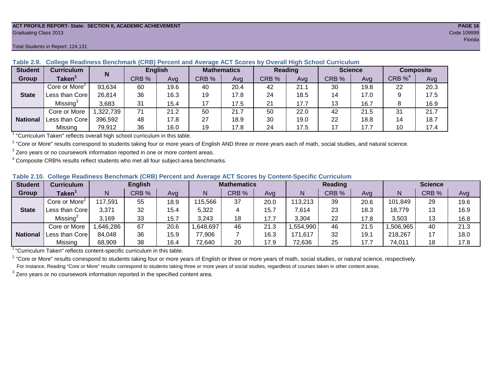#### **ACT PROFILE REPORT- State: SECTION II, ACADEMIC ACHIEVEMENT PAGE 16** Graduating Class 2013 Code 109999

#### Total Students in Report: 124,131

| <b>Student</b>  | <b>Curriculum</b>                       | N        | <b>English</b> |      | <b>Mathematics</b> |      | <b>Reading</b> |      |       | <b>Science</b> | <b>Composite</b>      |      |
|-----------------|-----------------------------------------|----------|----------------|------|--------------------|------|----------------|------|-------|----------------|-----------------------|------|
| Group           | Taken $^{\scriptscriptstyle\mathsf{T}}$ |          | CRB %          | Avg  | CRB %              | Avg  | CRB %          | Avg  | CRB % | Ava            | $CRB \%$ <sup>4</sup> | Avg  |
|                 | Core or More <sup>2</sup>               | 93,634   | 60             | 19.6 | 40                 | 20.4 | 42             | 21.1 | 30    | 19.8           | 22                    | 20.3 |
| <b>State</b>    | Less than Corel                         | 26,814   | 36             | 16.3 | 19                 | 17.8 | 24             | 18.5 | 14    | 17.0           |                       | 17.5 |
|                 | Missing <sup>3</sup>                    | 3,683    | 31             | 15.4 |                    | 17.5 | 21             | 17.7 | 13    | 16.7           |                       | 16.9 |
|                 | Core or More                            | ,322,739 | 71             | 21.2 | 50                 | 21.7 | 50             | 22.0 | 42    | 21.5           | 31                    | 21.7 |
| <b>National</b> | Less than Corel                         | 396,592  | 48             | 17.8 | 27                 | 18.9 | 30             | 19.0 | 22    | 18.8           | 14                    | 18.7 |
|                 | Missing                                 | 79,912   | 36             | 16.0 | 19                 | 17.8 | 24             | 17.5 | 17    | 17.7           | 10                    | 17.4 |

### **Table 2.9. College Readiness Benchmark (CRB) Percent and Average ACT Scores by Overall High School Curriculum**

<sup>1</sup> "Curriculum Taken" reflects overall high school curriculum in this table.

 $^2$  "Core or More" results correspond to students taking four or more years of English AND three or more years each of math, social studies, and natural science.

 $3$  Zero years or no coursework information reported in one or more content areas.

 $4$  Composite CRB% results reflect students who met all four subject-area benchmarks.

#### **Table 2.10. College Readiness Benchmark (CRB) Percent and Average ACT Scores by Content-Specific Curriculum**

| <b>Student</b>  | Curriculum                    |          | <b>English</b> |      |          | <b>Mathematics</b> |      |          | <b>Reading</b> |      |          | <b>Science</b> |      |  |
|-----------------|-------------------------------|----------|----------------|------|----------|--------------------|------|----------|----------------|------|----------|----------------|------|--|
| Group           | $\mathsf{Taken}^{\mathsf{T}}$ |          | CRB %          | Avg  | N        | CRB %              | Avg  | N        | CRB %          | Avg  | N        | CRB %          | Avg  |  |
|                 | Core or More <sup>2</sup>     | 117,591  | 55             | 18.9 | 115,566  | 37                 | 20.0 | 113,213  | 39             | 20.6 | 101,849  | 29             | 19.6 |  |
| <b>State</b>    | Less than Corel               | 3,371    | 32             | 15.4 | 5,322    |                    | 15.7 | 7,614    | 23             | 18.3 | 18,779   | 13             | 16.9 |  |
|                 | Missing <sup>3</sup>          | 3,169    | 33             | 15.7 | 3,243    | 18                 | 17.7 | 3,304    | 22             | 17.8 | 3,503    | 13             | 16.8 |  |
|                 | Core or More                  | .646,286 | 67             | 20.6 | ,648,697 | 46                 | 21.3 | ,554,990 | 46             | 21.5 | ,506,965 | 40             | 21.3 |  |
| <b>National</b> | Less than Core                | 84,048   | 36             | 15.9 | 77,906   |                    | 16.3 | 171,617  | 32             | 19.7 | 218,267  |                | 18.0 |  |
|                 | Missing                       | 68,909   | 38             | 16.4 | 72,640   | 20                 | 17.9 | 72,636   | 25             | 17.7 | 74,011   | 18             | 17.8 |  |

<sup>1</sup>"Curriculum Taken" reflects content-specific curriculum in this table.

<sup>2</sup> "Core or More" results correspond to students taking four or more years of English or three or more years of math, social studies, or natural science, respectively. For instance, Reading "Core or More" results correspond to students taking three or more years of social studies, regardless of courses taken in other content areas.

 $3$  Zero years or no coursework information reported in the specified content area.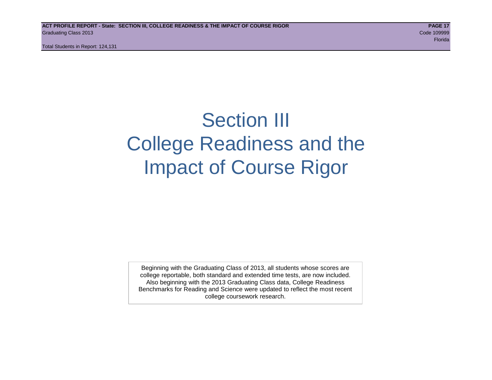Total Students in Report: 124,131

# Section III College Readiness and the Impact of Course Rigor

Beginning with the Graduating Class of 2013, all students whose scores are college reportable, both standard and extended time tests, are now included. Also beginning with the 2013 Graduating Class data, College Readiness Benchmarks for Reading and Science were updated to reflect the most recent college coursework research.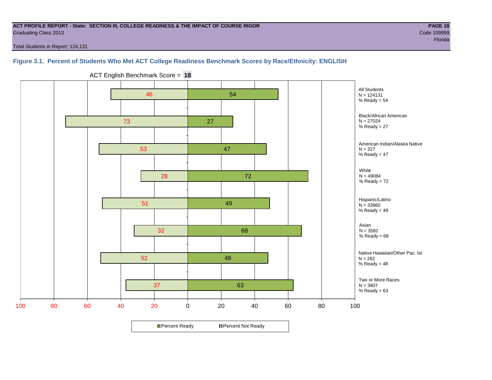#### **ACT PROFILE REPORT - State: SECTION III, COLLEGE READINESS & THE IMPACT OF COURSE RIGOR PAGE 18** Graduating Class 2013 Code 109999

en de la provincia de la provincia de la provincia de la provincia de la provincia de la provincia de la provi

Total Students in Report: 124,131

# **Figure 3.1. Percent of Students Who Met ACT College Readiness Benchmark Scores by Race/Ethnicity: ENGLISH**



ACT English Benchmark Score = **18**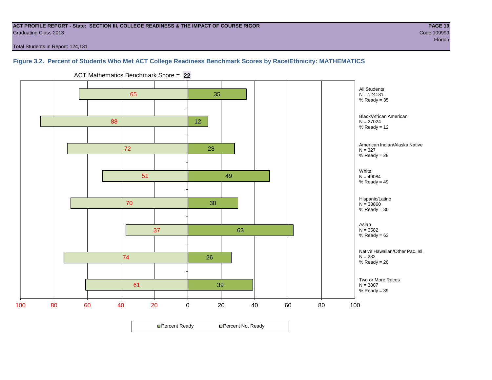#### **ACT PROFILE REPORT - State: SECTION III, COLLEGE READINESS & THE IMPACT OF COURSE RIGOR PAGE 19** Graduating Class 2013 Code 109999

Total Students in Report: 124,131

# **Figure 3.2. Percent of Students Who Met ACT College Readiness Benchmark Scores by Race/Ethnicity: MATHEMATICS**



ACT Mathematics Benchmark Score = **22**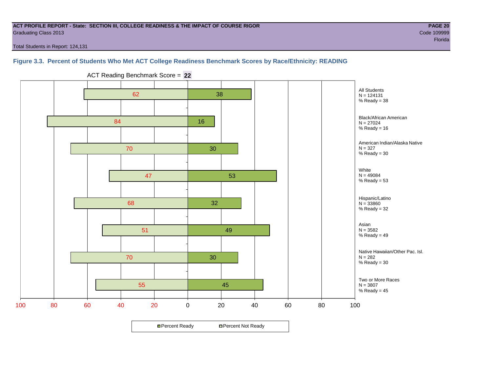#### **ACT PROFILE REPORT - State: SECTION III, COLLEGE READINESS & THE IMPACT OF COURSE RIGOR PAGE 20** Graduating Class 2013 Code 109999

Total Students in Report: 124,131

### **Figure 3.3. Percent of Students Who Met ACT College Readiness Benchmark Scores by Race/Ethnicity: READING**



ACT Reading Benchmark Score = **22**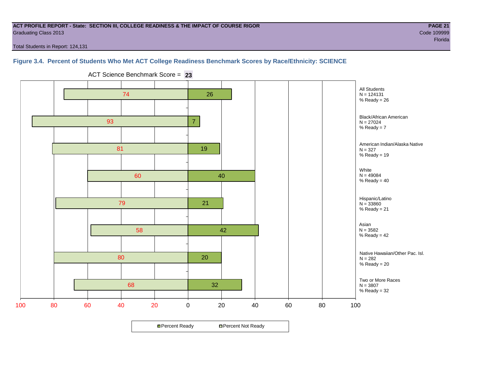#### **ACT PROFILE REPORT - State: SECTION III, COLLEGE READINESS & THE IMPACT OF COURSE RIGOR PAGE 21** Graduating Class 2013 Code 109999

Total Students in Report: 124,131

# **Figure 3.4. Percent of Students Who Met ACT College Readiness Benchmark Scores by Race/Ethnicity: SCIENCE**



ACT Science Benchmark Score = **23**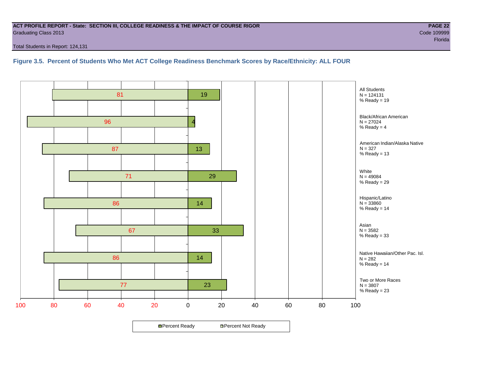#### **ACT PROFILE REPORT - State: SECTION III, COLLEGE READINESS & THE IMPACT OF COURSE RIGOR PAGE 22** Graduating Class 2013 Code 109999

Total Students in Report: 124,131

**Figure 3.5. Percent of Students Who Met ACT College Readiness Benchmark Scores by Race/Ethnicity: ALL FOUR**

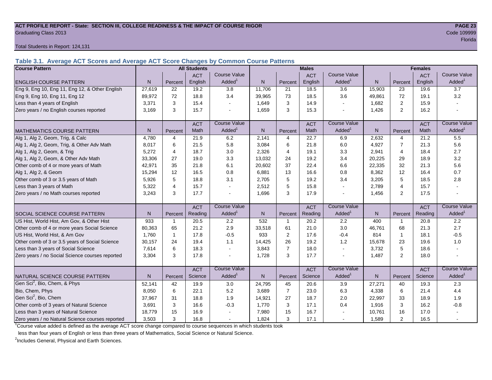#### **ACT PROFILE REPORT - State: SECTION III, COLLEGE READINESS & THE IMPACT OF COURSE RIGOR PAGE 23** Graduating Class 2013 Code 109999

Total Students in Report: 124,131

**Table 3.1. Average ACT Scores and Average ACT Score Changes by Common Course Patterns**

| <b>Course Pattern</b>                            |        |                | <b>All Students</b> |                     |              |                | <b>Males</b> |                          |              |                | <b>Females</b> |                        |
|--------------------------------------------------|--------|----------------|---------------------|---------------------|--------------|----------------|--------------|--------------------------|--------------|----------------|----------------|------------------------|
|                                                  |        |                | <b>ACT</b>          | <b>Course Value</b> |              |                | <b>ACT</b>   | <b>Course Value</b>      |              |                | <b>ACT</b>     | <b>Course Value</b>    |
| <b>ENGLISH COURSE PATTERN</b>                    | N.     | Percent        | English             | Added <sup>1</sup>  | N            | Percent        | English      | Added                    | N            | Percent        | English        | A d d e d <sup>1</sup> |
| Eng 9, Eng 10, Eng 11, Eng 12, & Other English   | 27,619 | 22             | 19.2                | $\overline{3.8}$    | 11,706       | 21             | 18.5         | 3.6                      | 15,903       | 23             | 19.6           | 3.7                    |
| Eng 9, Eng 10, Eng 11, Eng 12                    | 89.972 | 72             | 18.8                | 3.4                 | 39,965       | 73             | 18.5         | 3.6                      | 49.861       | 72             | 19.1           | 3.2                    |
| Less than 4 years of English                     | 3,371  | 3              | 15.4                |                     | 1,649        | 3              | 14.9         | $\sim$                   | 1,682        | 2              | 15.9           |                        |
| Zero years / no English courses reported         | 3,169  | 3              | 15.7                |                     | 1,659        | 3              | 15.3         | $\blacksquare$           | 1,426        | $\overline{2}$ | 16.2           |                        |
|                                                  |        |                | <b>ACT</b>          | <b>Course Value</b> |              |                | <b>ACT</b>   | <b>Course Value</b>      |              |                | <b>ACT</b>     | <b>Course Value</b>    |
| <b>MATHEMATICS COURSE PATTERN</b>                | N.     | Percent        | Math                | Added <sup>1</sup>  | $\mathsf{N}$ | Percent        | Math         | Added <sup>1</sup>       | $\mathsf{N}$ | Percent        | Math           | A d d e d <sup>1</sup> |
| Alg 1, Alg 2, Geom, Trig, & Calc                 | 4.780  | 4              | 21.9                | 6.2                 | 2,141        | $\overline{4}$ | 22.7         | 6.9                      | 2,632        | $\overline{4}$ | 21.2           | 5.5                    |
| Alg 1, Alg 2, Geom, Trig, & Other Adv Math       | 8.017  | 6              | 21.5                | 5.8                 | 3,084        | 6              | 21.8         | 6.0                      | 4,927        | $\overline{7}$ | 21.3           | 5.6                    |
| Alg 1, Alg 2, Geom, & Trig                       | 5.272  | 4              | 18.7                | 3.0                 | 2,326        | $\overline{4}$ | 19.1         | 3.3                      | 2,941        | $\overline{4}$ | 18.4           | 2.7                    |
| Alg 1, Alg 2, Geom, & Other Adv Math             | 33,306 | 27             | 19.0                | 3.3                 | 13,032       | 24             | 19.2         | 3.4                      | 20,225       | 29             | 18.9           | 3.2                    |
| Other comb of 4 or more years of Math            | 42,971 | 35             | 21.8                | 6.1                 | 20,602       | 37             | 22.4         | 6.6                      | 22,335       | 32             | 21.3           | 5.6                    |
| Alg 1, Alg 2, & Geom                             | 15,294 | 12             | 16.5                | 0.8                 | 6,881        | 13             | 16.6         | 0.8                      | 8,362        | 12             | 16.4           | 0.7                    |
| Other comb of 3 or 3.5 years of Math             | 5,926  | 5              | 18.8                | 3.1                 | 2,705        | 5              | 19.2         | 3.4                      | 3,205        | 5              | 18.5           | 2.8                    |
| Less than 3 years of Math                        | 5,322  | $\overline{4}$ | 15.7                |                     | 2,512        | 5              | 15.8         | $\tilde{\phantom{a}}$    | 2,789        | 4              | 15.7           |                        |
| Zero years / no Math courses reported            | 3,243  | 3              | 17.7                |                     | 1,696        | 3              | 17.9         | L,                       | 1,456        | $\overline{2}$ | 17.5           |                        |
|                                                  |        |                | <b>ACT</b>          | <b>Course Value</b> |              |                | <b>ACT</b>   | <b>Course Value</b>      |              |                | <b>ACT</b>     | <b>Course Value</b>    |
| SOCIAL SCIENCE COURSE PATTERN                    | N.     | Percent        | Reading             | Added <sup>1</sup>  | $\mathsf{N}$ | Percent        | Reading      | Added                    | N            | Percent        | Reading        | A d d e d <sup>1</sup> |
| US Hist, World Hist, Am Gov, & Other Hist        | 933    | $\mathbf{1}$   | 20.5                | 2.2                 | 532          | $\mathbf{1}$   | 20.2         | 2.2                      | 400          | $\mathbf{1}$   | 20.8           | 2.2                    |
| Other comb of 4 or more years Social Science     | 80,363 | 65             | 21.2                | 2.9                 | 33,518       | 61             | 21.0         | 3.0                      | 46,761       | 68             | 21.3           | 2.7                    |
| US Hist, World Hist, & Am Gov                    | 1,760  | $\mathbf{1}$   | 17.8                | $-0.5$              | 933          | 2              | 17.6         | $-0.4$                   | 814          | $\mathbf{1}$   | 18.1           | $-0.5$                 |
| Other comb of 3 or 3.5 years of Social Science   | 30,157 | 24             | 19.4                | 1.1                 | 14,425       | 26             | 19.2         | 1.2                      | 15,678       | 23             | 19.6           | 1.0                    |
| Less than 3 years of Social Science              | 7,614  | 6              | 18.3                |                     | 3,843        | $\overline{7}$ | 18.0         | $\sim$                   | 3,732        | 5              | 18.6           |                        |
| Zero years / no Social Science courses reported  | 3,304  | 3              | 17.8                |                     | 1,728        | 3              | 17.7         | $\overline{\phantom{a}}$ | 1,487        | 2              | 18.0           |                        |
|                                                  |        |                | <b>ACT</b>          | <b>Course Value</b> |              |                | <b>ACT</b>   | <b>Course Value</b>      |              |                | <b>ACT</b>     | <b>Course Value</b>    |
| <b>I</b> NATURAL SCIENCE COURSE PATTERN          | N      | Percent        | Science             | Added <sup>1</sup>  | $\mathsf{N}$ | Percent        | Science      | Added <sup>1</sup>       | $\mathsf{N}$ | Percent        | Science        | A d d e d <sup>1</sup> |
| Gen Sci <sup>2</sup> , Bio, Chem, & Phys         | 52,141 | 42             | 19.9                | 3.0                 | 24,795       | 45             | 20.6         | 3.9                      | 27,271       | 40             | 19.3           | 2.3                    |
| Bio, Chem, Phys                                  | 8.050  | 6              | 22.1                | 5.2                 | 3,689        | $\overline{7}$ | 23.0         | 6.3                      | 4,338        | 6              | 21.4           | 4.4                    |
| Gen Sci <sup>2</sup> , Bio, Chem                 | 37,967 | 31             | 18.8                | 1.9                 | 14,921       | 27             | 18.7         | 2.0                      | 22,997       | 33             | 18.9           | 1.9                    |
| Other comb of 3 years of Natural Science         | 3,691  | 3              | 16.6                | $-0.3$              | 1,770        | 3              | 17.1         | 0.4                      | 1,916        | 3              | 16.2           | $-0.8$                 |
| Less than 3 years of Natural Science             | 18,779 | 15             | 16.9                |                     | 7,980        | 15             | 16.7         |                          | 10,761       | 16             | 17.0           |                        |
| Zero years / no Natural Science courses reported | 3,503  | 3              | 16.8                |                     | 1,824        | 3              | 17.1         | $\sim$                   | 1,589        | $\mathfrak{p}$ | 16.5           |                        |

<sup>1</sup>Course value added is defined as the average ACT score change compared to course sequences in which students took

less than four years of English or less than three years of Mathematics, Social Science or Natural Science.

<sup>2</sup>Includes General, Physical and Earth Sciences.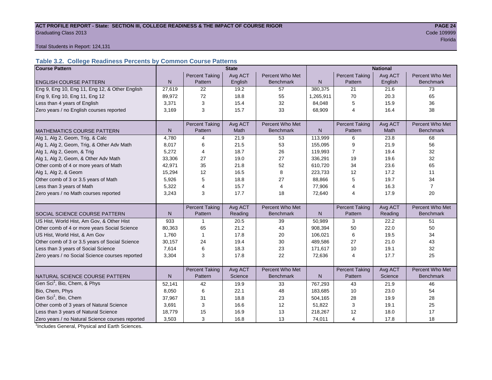# ACT PROFILE REPORT - State: SECTION III, COLLEGE READINESS & THE IMPACT OF COURSE RIGOR **PAGE 24** Graduating Class 2013 Code 109999

resultation of the contract of the contract of the contract of the contract of the contract of the Florida Plo

#### Total Students in Report: 124,131

# **Table 3.2. College Readiness Percents by Common Course Patterns**

| <b>Course Pattern</b>                            | <b>State</b><br><b>National</b> |                       |         |                  |              |                       |         |                  |
|--------------------------------------------------|---------------------------------|-----------------------|---------|------------------|--------------|-----------------------|---------|------------------|
|                                                  |                                 | <b>Percent Taking</b> | Avg ACT | Percent Who Met  |              | <b>Percent Taking</b> | Avg ACT | Percent Who Met  |
| <b>ENGLISH COURSE PATTERN</b>                    | $\mathsf{N}$                    | Pattern               | English | <b>Benchmark</b> | $\mathsf{N}$ | Pattern               | English | <b>Benchmark</b> |
| Eng 9, Eng 10, Eng 11, Eng 12, & Other English   | 27,619                          | 22                    | 19.2    | 57               | 380,375      | 21                    | 21.6    | 73               |
| Eng 9, Eng 10, Eng 11, Eng 12                    | 89,972                          | 72                    | 18.8    | 55               | 1,265,911    | 70                    | 20.3    | 65               |
| Less than 4 years of English                     | 3,371                           | 3                     | 15.4    | 32               | 84,048       | 5                     | 15.9    | 36               |
| Zero years / no English courses reported         | 3,169                           | 3                     | 15.7    | 33               | 68,909       | 4                     | 16.4    | 38               |
|                                                  |                                 |                       |         |                  |              |                       |         |                  |
|                                                  |                                 | <b>Percent Taking</b> | Avg ACT | Percent Who Met  |              | <b>Percent Taking</b> | Avg ACT | Percent Who Met  |
| <b>MATHEMATICS COURSE PATTERN</b>                | N                               | Pattern               | Math    | <b>Benchmark</b> | N            | Pattern               | Math    | <b>Benchmark</b> |
| Alg 1, Alg 2, Geom, Trig, & Calc                 | 4,780                           | 4                     | 21.9    | 53               | 113,999      | 6                     | 23.8    | 68               |
| Alg 1, Alg 2, Geom, Trig, & Other Adv Math       | 8,017                           | 6                     | 21.5    | 53               | 155,095      | 9                     | 21.9    | 56               |
| Alg 1, Alg 2, Geom, & Trig                       | 5,272                           | 4                     | 18.7    | 26               | 119,993      | 7                     | 19.4    | 32               |
| Alg 1, Alg 2, Geom, & Other Adv Math             | 33,306                          | 27                    | 19.0    | 27               | 336,291      | 19                    | 19.6    | 32               |
| Other comb of 4 or more years of Math            | 42,971                          | 35                    | 21.8    | 52               | 610,720      | 34                    | 23.6    | 65               |
| Alg 1, Alg 2, & Geom                             | 15,294                          | 12                    | 16.5    | 8                | 223,733      | 12                    | 17.2    | 11               |
| Other comb of 3 or 3.5 years of Math             | 5,926                           | 5                     | 18.8    | 27               | 88,866       | 5                     | 19.7    | 34               |
| Less than 3 years of Math                        | 5,322                           | 4                     | 15.7    | 4                | 77,906       | 4                     | 16.3    | $\overline{7}$   |
| Zero years / no Math courses reported            | 3,243                           | 3                     | 17.7    | 18               | 72,640       | 4                     | 17.9    | 20               |
|                                                  |                                 |                       |         |                  |              |                       |         |                  |
|                                                  |                                 | <b>Percent Taking</b> | Avg ACT | Percent Who Met  |              | Percent Taking        | Avg ACT | Percent Who Met  |
| SOCIAL SCIENCE COURSE PATTERN                    | N                               | Pattern               | Reading | <b>Benchmark</b> | N            | Pattern               | Reading | <b>Benchmark</b> |
| US Hist, World Hist, Am Gov, & Other Hist        | 933                             | $\mathbf 1$           | 20.5    | 39               | 50,989       | 3                     | 22.2    | 51               |
| Other comb of 4 or more years Social Science     | 80,363                          | 65                    | 21.2    | 43               | 908,394      | 50                    | 22.0    | 50               |
| US Hist, World Hist, & Am Gov                    | 1,760                           | $\mathbf{1}$          | 17.8    | 20               | 106,021      | 6                     | 19.5    | 34               |
| Other comb of 3 or 3.5 years of Social Science   | 30,157                          | 24                    | 19.4    | 30               | 489,586      | 27                    | 21.0    | 43               |
| Less than 3 years of Social Science              | 7,614                           | 6                     | 18.3    | 23               | 171,617      | 10                    | 19.1    | 32               |
| Zero years / no Social Science courses reported  | 3,304                           | 3                     | 17.8    | 22               | 72,636       | 4                     | 17.7    | 25               |
|                                                  |                                 |                       |         |                  |              |                       |         |                  |
|                                                  |                                 | <b>Percent Taking</b> | Avg ACT | Percent Who Met  |              | <b>Percent Taking</b> | Avg ACT | Percent Who Met  |
| NATURAL SCIENCE COURSE PATTERN                   | N                               | Pattern               | Science | <b>Benchmark</b> | N            | Pattern               | Science | <b>Benchmark</b> |
| Gen Sci <sup>1</sup> , Bio, Chem, & Phys         | 52,141                          | 42                    | 19.9    | 33               | 767,293      | 43                    | 21.9    | 46               |
| Bio, Chem, Phys                                  | 8,050                           | 6                     | 22.1    | 48               | 183,685      | 10                    | 23.0    | 54               |
| Gen Sci <sup>1</sup> , Bio, Chem                 | 37,967                          | 31                    | 18.8    | 23               | 504,165      | 28                    | 19.9    | 28               |
| Other comb of 3 years of Natural Science         | 3,691                           | 3                     | 16.6    | 12               | 51,822       | 3                     | 19.1    | 25               |
| Less than 3 years of Natural Science             | 18,779                          | 15                    | 16.9    | 13               | 218,267      | 12                    | 18.0    | 17               |
| Zero years / no Natural Science courses reported | 3,503                           | 3                     | 16.8    | 13               | 74,011       | 4                     | 17.8    | 18               |

<sup>1</sup>Includes General, Physical and Earth Sciences.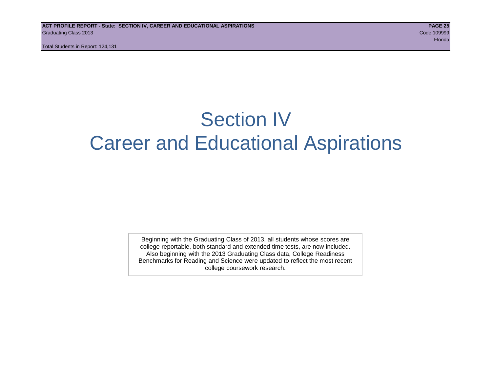Total Students in Report: 124,131

# Section IV Career and Educational Aspirations

Beginning with the Graduating Class of 2013, all students whose scores are college reportable, both standard and extended time tests, are now included. Also beginning with the 2013 Graduating Class data, College Readiness Benchmarks for Reading and Science were updated to reflect the most recent college coursework research.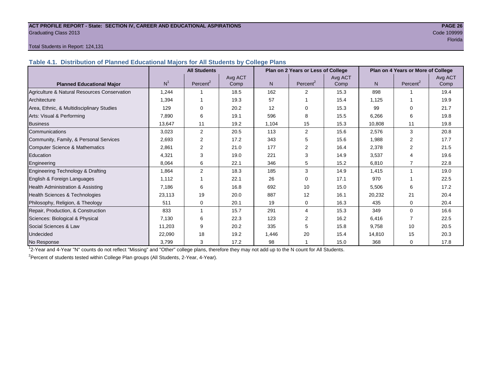#### **ACT PROFILE REPORT - State: SECTION IV, CAREER AND EDUCATIONAL ASPIRATIONS PAGE 26** Graduating Class 2013 Code 109999

# en de la provincia de la provincia de la provincia de la provincia de la provincia de la provincia de la provi

#### Total Students in Report: 124,131

**Table 4.1. Distribution of Planned Educational Majors for All Students by College Plans**

|                                              |                | <b>All Students</b>  |                 | Plan on 2 Years or Less of College |                      |                 |        | Plan on 4 Years or More of College |                 |  |  |
|----------------------------------------------|----------------|----------------------|-----------------|------------------------------------|----------------------|-----------------|--------|------------------------------------|-----------------|--|--|
| <b>Planned Educational Major</b>             | N <sup>1</sup> | Percent <sup>2</sup> | Avg ACT<br>Comp | N.                                 | Percent <sup>2</sup> | Avg ACT<br>Comp | N      | Percent <sup>2</sup>               | Avg ACT<br>Comp |  |  |
| Agriculture & Natural Resources Conservation | 1,244          |                      | 18.5            | 162                                | $\overline{2}$       | 15.3            | 898    |                                    | 19.4            |  |  |
| Architecture                                 | 1,394          |                      | 19.3            | 57                                 |                      | 15.4            | 1,125  |                                    | 19.9            |  |  |
| Area, Ethnic, & Multidisciplinary Studies    | 129            | 0                    | 20.2            | 12                                 | $\Omega$             | 15.3            | 99     | 0                                  | 21.7            |  |  |
| Arts: Visual & Performing                    | 7.890          | 6                    | 19.1            | 596                                | 8                    | 15.5            | 6,266  | 6                                  | 19.8            |  |  |
| <b>Business</b>                              | 13,647         | 11                   | 19.2            | 1,104                              | 15                   | 15.3            | 10,808 | 11                                 | 19.8            |  |  |
| Communications                               | 3,023          | $\overline{2}$       | 20.5            | 113                                | 2                    | 15.6            | 2,576  | 3                                  | 20.8            |  |  |
| Community, Family, & Personal Services       | 2,693          | $\overline{2}$       | 17.2            | 343                                | 5                    | 15.6            | 1,988  | 2                                  | 17.7            |  |  |
| <b>Computer Science &amp; Mathematics</b>    | 2,861          | $\overline{2}$       | 21.0            | 177                                | 2                    | 16.4            | 2,378  | 2                                  | 21.5            |  |  |
| Education                                    | 4,321          | 3                    | 19.0            | 221                                | 3                    | 14.9            | 3,537  |                                    | 19.6            |  |  |
| Engineering                                  | 8,064          | 6                    | 22.1            | 346                                | 5                    | 15.2            | 6,810  |                                    | 22.8            |  |  |
| Engineering Technology & Drafting            | 1,864          | 2                    | 18.3            | 185                                | 3                    | 14.9            | 1,415  | 1                                  | 19.0            |  |  |
| English & Foreign Languages                  | 1,112          |                      | 22.1            | 26                                 | $\Omega$             | 17.1            | 970    |                                    | 22.5            |  |  |
| Health Administration & Assisting            | 7.186          | 6                    | 16.8            | 692                                | 10                   | 15.0            | 5,506  | 6                                  | 17.2            |  |  |
| Health Sciences & Technologies               | 23,113         | 19                   | 20.0            | 887                                | 12                   | 16.1            | 20,232 | 21                                 | 20.4            |  |  |
| Philosophy, Religion, & Theology             | 511            | 0                    | 20.1            | 19                                 | $\Omega$             | 16.3            | 435    | $\Omega$                           | 20.4            |  |  |
| Repair, Production, & Construction           | 833            |                      | 15.7            | 291                                | 4                    | 15.3            | 349    | $\Omega$                           | 16.6            |  |  |
| Sciences: Biological & Physical              | 7,130          | 6                    | 22.3            | 123                                | 2                    | 16.2            | 6,416  |                                    | 22.5            |  |  |
| Social Sciences & Law                        | 11,203         | 9                    | 20.2            | 335                                | 5                    | 15.8            | 9,758  | 10                                 | 20.5            |  |  |
| Undecided                                    | 22,090         | 18                   | 19.2            | 1,446                              | 20                   | 15.4            | 14,810 | 15                                 | 20.3            |  |  |
| No Response                                  | 3,799          | 3                    | 17.2            | 98                                 |                      | 15.0            | 368    | $\Omega$                           | 17.8            |  |  |

1 2-Year and 4-Year "N" counts do not reflect "Missing" and "Other" college plans, therefore they may not add up to the N count for All Students.

<sup>2</sup> Percent of students tested within College Plan groups (All Students, 2-Year, 4-Year).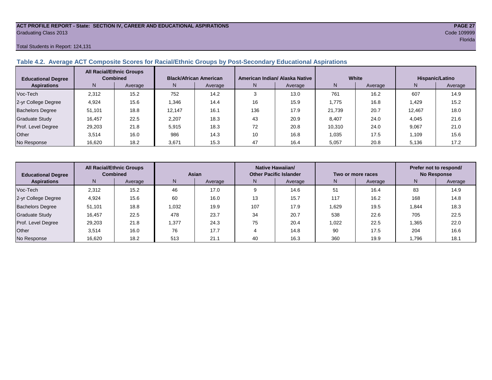#### **ACT PROFILE REPORT - State: SECTION IV, CAREER AND EDUCATIONAL ASPIRATIONS PAGE 27** Graduating Class 2013 Code 109999

#### Total Students in Report: 124,131

# **Table 4.2. Average ACT Composite Scores for Racial/Ethnic Groups by Post-Secondary Educational Aspirations**

| <b>Educational Degree</b> | <b>All Racial/Ethnic Groups</b><br><b>Combined</b> |         |        | <b>Black/African American</b> |           | American Indian/ Alaska Native |        | White   | Hispanic/Latino |         |  |
|---------------------------|----------------------------------------------------|---------|--------|-------------------------------|-----------|--------------------------------|--------|---------|-----------------|---------|--|
| <b>Aspirations</b>        | N.                                                 | Average | N.     | Average                       | N         | Average                        | N      | Average | N               | Average |  |
| Voc-Tech                  | 2,312                                              | 15.2    | 752    | 14.2                          |           | 13.0                           | 761    | 16.2    | 607             | 14.9    |  |
| 2-yr College Degree       | 4.924                                              | 15.6    | .346   | 14.4                          | 16        | 15.9                           | 1.775  | 16.8    | .429            | 15.2    |  |
| <b>Bachelors Degree</b>   | 51.101                                             | 18.8    | 12.147 | 16.1                          | 136       | 17.9                           | 21.739 | 20.7    | 12.467          | 18.0    |  |
| <b>Graduate Study</b>     | 16.457                                             | 22.5    | 2.207  | 18.3                          | 43        | 20.9                           | 8.407  | 24.0    | 4,045           | 21.6    |  |
| Prof. Level Degree        | 29,203                                             | 21.8    | 5.915  | 18.3                          | 70<br>I L | 20.8                           | 10.310 | 24.0    | 9.067           | 21.0    |  |
| Other                     | 3.514                                              | 16.0    | 986    | 14.3                          | 10        | 16.8                           | 1,035  | 17.5    | .109            | 15.6    |  |
| No Response               | 16,620                                             | 18.2    | 3,671  | 15.3                          | 47        | 16.4                           | 5,057  | 20.8    | 5,136           | 17.2    |  |

| <b>Educational Degree</b> | <b>All Racial/Ethnic Groups</b><br><b>Combined</b> |         | Asian |         | Native Hawaiian/<br><b>Other Pacific Islander</b> |         | Two or more races |         | Prefer not to respond/<br><b>No Response</b> |         |  |
|---------------------------|----------------------------------------------------|---------|-------|---------|---------------------------------------------------|---------|-------------------|---------|----------------------------------------------|---------|--|
| <b>Aspirations</b>        | N.                                                 | Average | N.    | Average | N                                                 | Average | N                 | Average | N                                            | Average |  |
| Voc-Tech                  | 2,312                                              | 15.2    | 46    | 17.0    |                                                   | 14.6    | 51                | 16.4    | 83                                           | 14.9    |  |
| 2-yr College Degree       | 4,924                                              | 15.6    | 60    | 16.0    | 13                                                | 15.7    | 117               | 16.2    | 168                                          | 14.8    |  |
| <b>Bachelors Degree</b>   | 51,101                                             | 18.8    | 1,032 | 19.9    | 107                                               | 17.9    | 1,629             | 19.5    | 1.844                                        | 18.3    |  |
| <b>Graduate Study</b>     | 16,457                                             | 22.5    | 478   | 23.7    | 34                                                | 20.7    | 538               | 22.6    | 705                                          | 22.5    |  |
| Prof. Level Degree        | 29,203                                             | 21.8    | .377  | 24.3    | 75                                                | 20.4    | 1,022             | 22.5    | 1,365                                        | 22.0    |  |
| Other                     | 3.514                                              | 16.0    | 76    | 17.7    |                                                   | 14.8    | 90                | 17.5    | 204                                          | 16.6    |  |
| No Response               | 16,620                                             | 18.2    | 513   | 21.1    | 40                                                | 16.3    | 360               | 19.9    | .796                                         | 18.1    |  |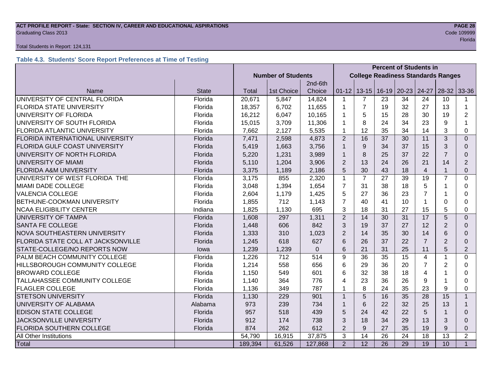#### **ACT PROFILE REPORT - State: SECTION IV, CAREER AND EDUCATIONAL ASPIRATIONS PAGE 28 Graduating Class 2013** Code 109999 Code 109999

#### Total Students in Report: 124,131

# **Table 4.3. Students' Score Report Preferences at Time of Testing**

|                                         |              |                           | <b>Percent of Students in</b> |          |                                           |                |    |                               |                |                 |                |
|-----------------------------------------|--------------|---------------------------|-------------------------------|----------|-------------------------------------------|----------------|----|-------------------------------|----------------|-----------------|----------------|
|                                         |              | <b>Number of Students</b> |                               |          | <b>College Readiness Standards Ranges</b> |                |    |                               |                |                 |                |
|                                         |              |                           |                               | 2nd-6th  |                                           |                |    |                               |                |                 |                |
| Name                                    | <b>State</b> | Total                     | 1st Choice                    | Choice   | $01 - 12$                                 |                |    | 13-15   16-19   20-23   24-27 |                | $28-32$ 33-36   |                |
| UNIVERSITY OF CENTRAL FLORIDA           | Florida      | 20,671                    | 5,847                         | 14,824   | 1                                         | $\overline{7}$ | 23 | 34                            | 24             | 10              |                |
| <b>FLORIDA STATE UNIVERSITY</b>         | Florida      | 18,357                    | 6,702                         | 11,655   | 1                                         | $\overline{7}$ | 19 | 32                            | 27             | 13              | $\mathbf{1}$   |
| UNIVERSITY OF FLORIDA                   | Florida      | 16,212                    | 6,047                         | 10,165   | 1                                         | 5              | 15 | 28                            | 30             | 19              | 2              |
| UNIVERSITY OF SOUTH FLORIDA             | Florida      | 15,015                    | 3,709                         | 11,306   | 1                                         | 8              | 24 | 34                            | 23             | 9               | 1              |
| <b>FLORIDA ATLANTIC UNIVERSITY</b>      | Florida      | 7,662                     | 2,127                         | 5,535    | 1                                         | 12             | 35 | 34                            | 14             | 3               | 0              |
| <b>FLORIDA INTERNATIONAL UNIVERSITY</b> | Florida      | 7,471                     | 2,598                         | 4,873    | $\overline{2}$                            | 16             | 37 | 30                            | 11             | 3               | $\Omega$       |
| <b>FLORIDA GULF COAST UNIVERSITY</b>    | Florida      | 5,419                     | 1,663                         | 3,756    |                                           | 9              | 34 | 37                            | 15             | 3               | 0              |
| UNIVERSITY OF NORTH FLORIDA             | Florida      | 5,220                     | 1,231                         | 3,989    | $\mathbf 1$                               | 8              | 25 | 37                            | 22             | $\overline{7}$  | $\Omega$       |
| UNIVERSITY OF MIAMI                     | Florida      | 5,110                     | 1,204                         | 3,906    | $\overline{2}$                            | 13             | 24 | 26                            | 21             | 14              | 2              |
| <b>FLORIDA A&amp;M UNIVERSITY</b>       | Florida      | 3,375                     | 1,189                         | 2,186    | 5                                         | 30             | 43 | 18                            | $\overline{4}$ |                 | $\Omega$       |
| UNIVERSITY OF WEST FLORIDA THE          | Florida      | 3,175                     | 855                           | 2,320    | $\mathbf{1}$                              | $\overline{7}$ | 27 | 39                            | 19             | $\overline{7}$  | 0              |
| <b>MIAMI DADE COLLEGE</b>               | Florida      | 3,048                     | 1,394                         | 1,654    | $\overline{7}$                            | 31             | 38 | 18                            | 5              |                 | 0              |
| <b>VALENCIA COLLEGE</b>                 | Florida      | 2,604                     | 1,179                         | 1,425    | 5                                         | 27             | 36 | 23                            | $\overline{7}$ |                 | 0              |
| BETHUNE-COOKMAN UNIVERSITY              | Florida      | 1,855                     | 712                           | 1,143    | $\overline{7}$                            | 40             | 41 | 10                            | 1              | $\Omega$        | 0              |
| <b>NCAA ELIGIBILITY CENTER</b>          | Indiana      | 1,825                     | 1,130                         | 695      | 3                                         | 18             | 31 | 27                            | 15             | 5               | 0              |
| UNIVERSITY OF TAMPA                     | Florida      | 1,608                     | 297                           | 1,311    | $\overline{2}$                            | 14             | 30 | 31                            | 17             | 5               | $\Omega$       |
| <b>SANTA FE COLLEGE</b>                 | Florida      | 1,448                     | 606                           | 842      | 3                                         | 19             | 37 | 27                            | 12             | $\overline{2}$  | 0              |
| <b>NOVA SOUTHEASTERN UNIVERSITY</b>     | Florida      | 1,333                     | 310                           | 1,023    | $\overline{2}$                            | 14             | 35 | 30                            | 14             | 6               | $\Omega$       |
| FLORIDA STATE COLL AT JACKSONVILLE      | Florida      | 1,245                     | 618                           | 627      | 6                                         | 26             | 37 | 22                            | $\overline{7}$ | 2               | 0              |
| STATE-COLLEGE/NO REPORTS NOW            | lowa         | 1,239                     | 1,239                         | $\Omega$ | 6                                         | 21             | 31 | 25                            | 11             | 5               | $\overline{2}$ |
| PALM BEACH COMMUNITY COLLEGE            | Florida      | 1,226                     | 712                           | 514      | 9                                         | 36             | 35 | 15                            | 4              | 1               | 0              |
| HILLSBOROUGH COMMUNITY COLLEGE          | Florida      | 1,214                     | 558                           | 656      | 6                                         | 29             | 36 | 20                            | $\overline{7}$ | $\overline{2}$  | 0              |
| <b>BROWARD COLLEGE</b>                  | Florida      | 1,150                     | 549                           | 601      | 6                                         | 32             | 38 | 18                            | 4              |                 | 0              |
| TALLAHASSEE COMMUNITY COLLEGE           | Florida      | 1,140                     | 364                           | 776      | 4                                         | 23             | 36 | 26                            | 9              |                 | 0              |
| <b>FLAGLER COLLEGE</b>                  | Florida      | 1,136                     | 349                           | 787      | 1                                         | 8              | 24 | 35                            | 23             | 9               | 0              |
| <b>STETSON UNIVERSITY</b>               | Florida      | 1,130                     | 229                           | 901      | $\mathbf{1}$                              | 5              | 16 | 35                            | 28             | 15              | $\mathbf{1}$   |
| UNIVERSITY OF ALABAMA                   | Alabama      | 973                       | 239                           | 734      | 1                                         | 6              | 22 | 32                            | 25             | 13              | $\mathbf{1}$   |
| <b>EDISON STATE COLLEGE</b>             | Florida      | 957                       | 518                           | 439      | 5                                         | 24             | 42 | 22                            | 5              |                 | $\Omega$       |
| <b>JACKSONVILLE UNIVERSITY</b>          | Florida      | 912                       | 174                           | 738      | 3                                         | 18             | 34 | 29                            | 13             | 3               | $\Omega$       |
| <b>FLORIDA SOUTHERN COLLEGE</b>         | Florida      | 874                       | 262                           | 612      | $\overline{2}$                            | 9              | 27 | 35                            | 19             | 9               | 0              |
| All Other Institutions                  |              | 54,790                    | 16,915                        | 37,875   | 3                                         | 14             | 26 | 24                            | 18             | 13              | $\overline{2}$ |
| Total                                   |              | 189,394                   | 61,526                        | 127,868  | $\overline{2}$                            | 12             | 26 | 29                            | 19             | 10 <sup>°</sup> | $\mathbf{1}$   |

en de la provincia de la provincia de la provincia de la provincia de la provincia de la provincia de la provi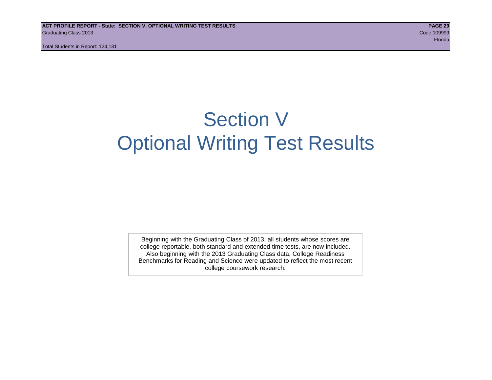Total Students in Report: 124,131

# Section V Optional Writing Test Results

Beginning with the Graduating Class of 2013, all students whose scores are college reportable, both standard and extended time tests, are now included. Also beginning with the 2013 Graduating Class data, College Readiness Benchmarks for Reading and Science were updated to reflect the most recent college coursework research.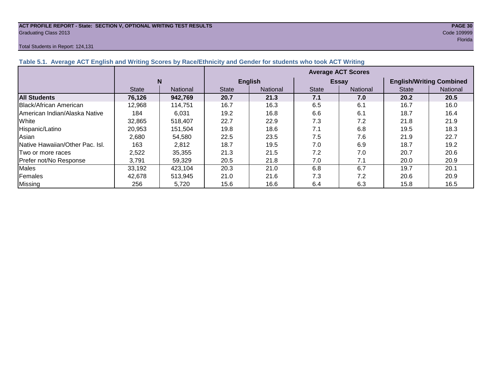#### **ACT PROFILE REPORT - State: SECTION V, OPTIONAL WRITING TEST RESULTS PAGE 30** Graduating Class 2013 Code 109999

#### Total Students in Report: 124,131

|                               | <b>Average ACT Scores</b> |          |                |                 |              |                 |                                 |                 |  |
|-------------------------------|---------------------------|----------|----------------|-----------------|--------------|-----------------|---------------------------------|-----------------|--|
|                               | N                         |          | <b>English</b> |                 |              | <b>Essay</b>    | <b>English/Writing Combined</b> |                 |  |
|                               | <b>State</b>              | National | <b>State</b>   | <b>National</b> | <b>State</b> | <b>National</b> | <b>State</b>                    | <b>National</b> |  |
| <b>All Students</b>           | 76,126                    | 942,769  | 20.7           | 21.3            | 7.1          | 7.0             | 20.2                            | 20.5            |  |
| <b>Black/African American</b> | 12.968                    | 114.751  | 16.7           | 16.3            | 6.5          | 6.1             | 16.7                            | 16.0            |  |
| American Indian/Alaska Native | 184                       | 6.031    | 19.2           | 16.8            | 6.6          | 6.1             | 18.7                            | 16.4            |  |
| White                         | 32,865                    | 518,407  | 22.7           | 22.9            | 7.3          | 7.2             | 21.8                            | 21.9            |  |
| Hispanic/Latino               | 20,953                    | 151,504  | 19.8           | 18.6            | 7.1          | 6.8             | 19.5                            | 18.3            |  |
| Asian                         | 2.680                     | 54.580   | 22.5           | 23.5            | 7.5          | 7.6             | 21.9                            | 22.7            |  |

|Native Hawaiian/Other Pac. Isl. | 163 | 2,812 | 18.7 | 19.5 | 7.0 | 6.9 | 18.7 | 19.2 Two or more races 1 2,522 35,355 21.3 21.5 7.2 7.0 20.7 20.6 Prefer not/No Response | 3,791 | 59,329 | 20.5 | 21.8 | 7.0 | 7.1 | 20.0 | 20.9 Males | 33,192 | 423,104 | 20.3 | 21.0 | 6.8 | 6.7 | 19.7 | 20.1 Females | 42,678 | 513,945 | 21.0 | 21.6 | 7.3 | 7.2 | 20.6 | 20.9 Missing | 256 | 5,720 | 15.6 | 16.6 | 6.4 | 6.3 | 15.8 | 16.5

en de la construction de la construction de la construction de la construction de la construction de la constr